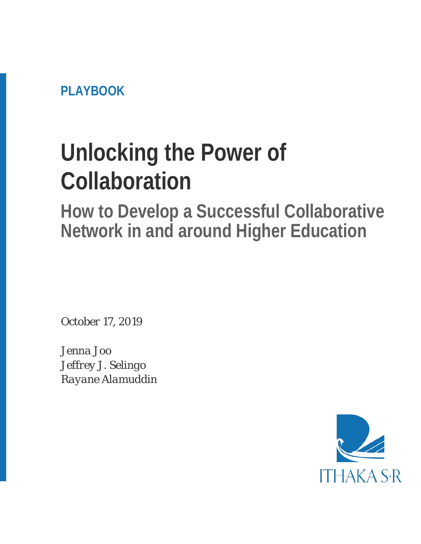**PLAYBOOK** 

# **Unlocking the Power of Collaboration**

**How to Develop a Successful Collaborative Network in and around Higher Education**

*October 17, 2019*

*Jenna Joo Jeffrey J. Selingo Rayane Alamuddin*

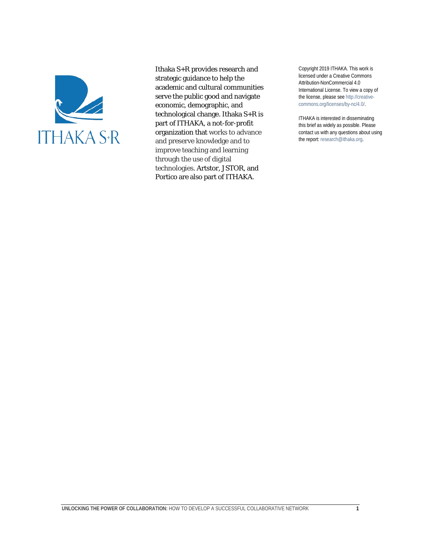

Ithaka S+R provides research and strategic guidance to help the academic and cultural communities serve the public good and navigate economic, demographic, and technological change. Ithaka S+R is part of ITHAKA, a not-for-profit organization that works to advance and preserve knowledge and to improve teaching and learning through the use of digital technologies. Artstor, JSTOR, and Portico are also part of ITHAKA.

Copyright 2019 ITHAKA. This work is licensed under a Creative Commons Attribution-NonCommercial 4.0 International License. To view a copy of the license, please see http://creativecommons.org/licenses/by-nc/4.0/.

ITHAKA is interested in disseminating this brief as widely as possible. Please contact us with any questions about using the report: research@ithaka.org.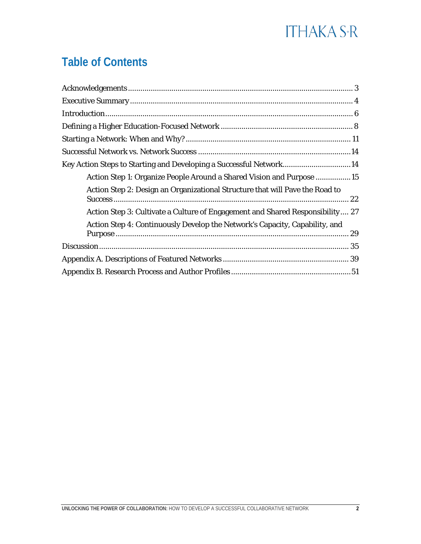### **Table of Contents**

<span id="page-2-0"></span>

| Key Action Steps to Starting and Developing a Successful Network14            |  |
|-------------------------------------------------------------------------------|--|
| Action Step 1: Organize People Around a Shared Vision and Purpose 15          |  |
| Action Step 2: Design an Organizational Structure that will Pave the Road to  |  |
| Action Step 3: Cultivate a Culture of Engagement and Shared Responsibility 27 |  |
| Action Step 4: Continuously Develop the Network's Capacity, Capability, and   |  |
|                                                                               |  |
|                                                                               |  |
|                                                                               |  |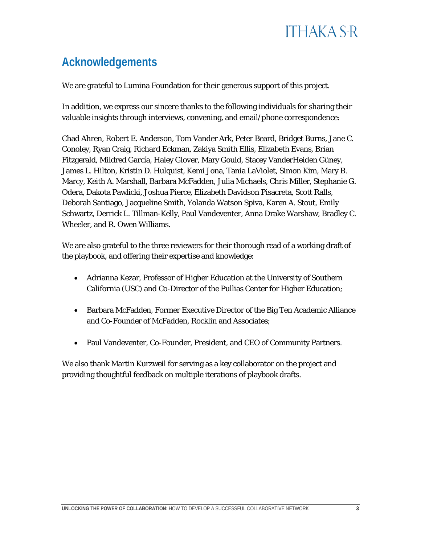### **Acknowledgements**

We are grateful to Lumina Foundation for their generous support of this project.

In addition, we express our sincere thanks to the following individuals for sharing their valuable insights through interviews, convening, and email/phone correspondence:

Chad Ahren, Robert E. Anderson, Tom Vander Ark, Peter Beard, Bridget Burns, Jane C. Conoley, Ryan Craig, Richard Eckman, Zakiya Smith Ellis, Elizabeth Evans, Brian Fitzgerald, Mildred García, Haley Glover, Mary Gould, Stacey VanderHeiden Güney, James L. Hilton, Kristin D. Hulquist, Kemi Jona, Tania LaViolet, Simon Kim, Mary B. Marcy, Keith A. Marshall, Barbara McFadden, Julia Michaels, Chris Miller, Stephanie G. Odera, Dakota Pawlicki, Joshua Pierce, Elizabeth Davidson Pisacreta, Scott Ralls, Deborah Santiago, Jacqueline Smith, Yolanda Watson Spiva, Karen A. Stout, Emily Schwartz, Derrick L. Tillman-Kelly, Paul Vandeventer, Anna Drake Warshaw, Bradley C. Wheeler, and R. Owen Williams.

We are also grateful to the three reviewers for their thorough read of a working draft of the playbook, and offering their expertise and knowledge:

- Adrianna Kezar, Professor of Higher Education at the University of Southern California (USC) and Co-Director of the Pullias Center for Higher Education;
- Barbara McFadden, Former Executive Director of the Big Ten Academic Alliance and Co-Founder of McFadden, Rocklin and Associates;
- Paul Vandeventer, Co-Founder, President, and CEO of Community Partners.

We also thank Martin Kurzweil for serving as a key collaborator on the project and providing thoughtful feedback on multiple iterations of playbook drafts.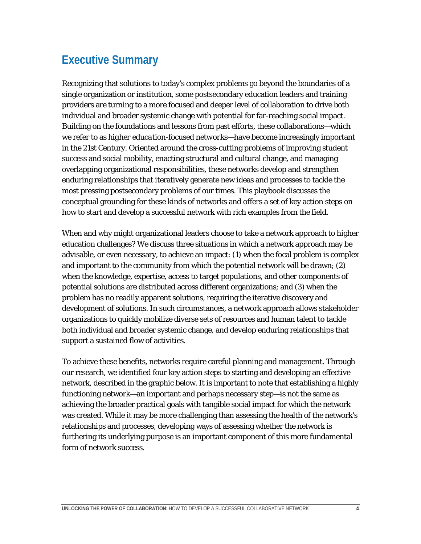### <span id="page-4-0"></span>**Executive Summary**

Recognizing that solutions to today's complex problems go beyond the boundaries of a single organization or institution, some postsecondary education leaders and training providers are turning to a more focused and deeper level of collaboration to drive both individual and broader systemic change with potential for far-reaching social impact. Building on the foundations and lessons from past efforts, these collaborations—which we refer to as *higher education-focused networks*—have become increasingly important in the 21st Century. Oriented around the cross-cutting problems of improving student success and social mobility, enacting structural and cultural change, and managing overlapping organizational responsibilities, these networks develop and strengthen enduring relationships that iteratively generate new ideas and processes to tackle the most pressing postsecondary problems of our times. This playbook discusses the conceptual grounding for these kinds of networks and offers a set of key action steps on how to start and develop a successful network with rich examples from the field.

When and why might organizational leaders choose to take a network approach to higher education challenges? We discuss three situations in which a network approach may be advisable, or even necessary, to achieve an impact: (1) when the focal problem is complex and important to the community from which the potential network will be drawn; (2) when the knowledge, expertise, access to target populations, and other components of potential solutions are distributed across different organizations; and (3) when the problem has no readily apparent solutions, requiring the iterative discovery and development of solutions. In such circumstances, a network approach allows stakeholder organizations to quickly mobilize diverse sets of resources and human talent to tackle both individual and broader systemic change, and develop enduring relationships that support a sustained flow of activities.

<span id="page-4-1"></span>To achieve these benefits, networks require careful planning and management. Through our research, we identified four key action steps to starting and developing an effective network, described in the graphic below. It is important to note that establishing a highly functioning network—an important and perhaps necessary step—is not the same as achieving the broader practical goals with tangible social impact for which the network was created. While it may be more challenging than assessing the health of the network's relationships and processes, developing ways of assessing whether the network is furthering its underlying purpose is an important component of this more fundamental form of network success.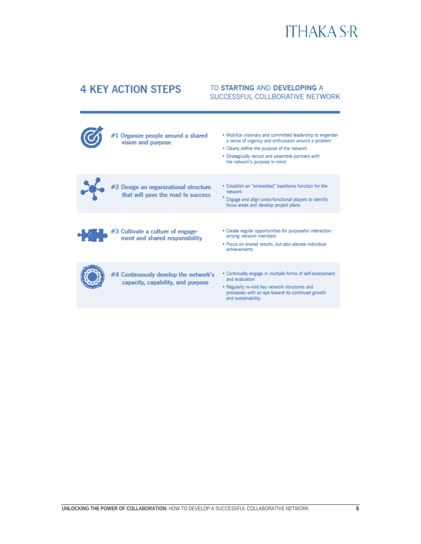### **4 KEY ACTION STEPS**

#### TO STARTING AND DEVELOPING A SUCCESSFUL COLLBORATIVE NETWORK

| #1 Organize people around a shared<br>vision and purpose                    | . Mobilize visionary and committed leadership to engender<br>a sense of urgency and enthusiasm around a problem<br>. Clearly define the purpose of the network<br>· Strategically recruit and assemble partners with<br>the network's purpose in mind |
|-----------------------------------------------------------------------------|-------------------------------------------------------------------------------------------------------------------------------------------------------------------------------------------------------------------------------------------------------|
| #2 Design an organizational structure<br>that will pave the road to success | . Establish an "embedded" backbone function for the<br>network<br>Engage and align cross-functional players to identify<br>focus areas and develop project plans                                                                                      |
| $#3$ Cultivate a culture of engage-<br>ment and shared responsibility       | . Create regular opportunities for purposeful interaction<br>among network members<br>. Focus on shared results, but also elevate individual<br>achievements                                                                                          |
| #4 Continuously develop the network's<br>capacity, capability, and purpose  | . Continually engage in multiple forms of self-assessment<br>and evaluation.<br>. Regularly re-visit key network structures and<br>processes with an eye toward its continued growth<br>and sustainability                                            |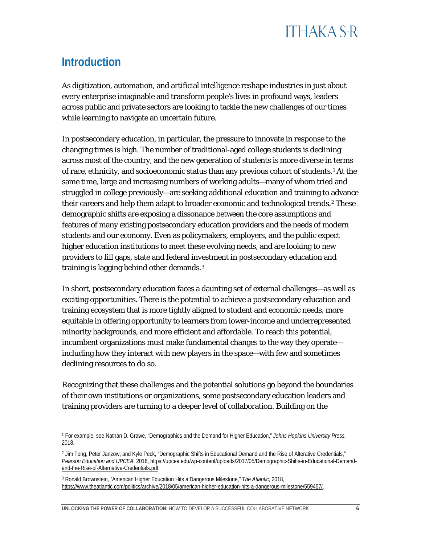### **Introduction**

As digitization, automation, and artificial intelligence reshape industries in just about every enterprise imaginable and transform people's lives in profound ways, leaders across public and private sectors are looking to tackle the new challenges of our times while learning to navigate an uncertain future.

In postsecondary education, in particular, the pressure to innovate in response to the changing times is high. The number of traditional-aged college students is declining across most of the country, and the new generation of students is more diverse in terms of race, ethnicity, and socioeconomic status than any previous cohort of students.[1](#page-6-0) At the same time, large and increasing numbers of working adults—many of whom tried and struggled in college previously—are seeking additional education and training to advance their careers and help them adapt to broader economic and technological trends.<sup>[2](#page-6-1)</sup> These demographic shifts are exposing a dissonance between the core assumptions and features of many existing postsecondary education providers and the needs of modern students and our economy. Even as policymakers, employers, and the public expect higher education institutions to meet these evolving needs, and are looking to new providers to fill gaps, state and federal investment in postsecondary education and training is lagging behind other demands.[3](#page-6-2) 

In short, postsecondary education faces a daunting set of external challenges—as well as exciting opportunities. There is the potential to achieve a postsecondary education and training ecosystem that is more tightly aligned to student and economic needs, more equitable in offering opportunity to learners from lower-income and underrepresented minority backgrounds, and more efficient and affordable. To reach this potential, incumbent organizations must make fundamental changes to the way they operate including how they interact with new players in the space—with few and sometimes declining resources to do so.

Recognizing that these challenges and the potential solutions go beyond the boundaries of their own institutions or organizations, some postsecondary education leaders and training providers are turning to a deeper level of collaboration. Building on the

<span id="page-6-0"></span><sup>1</sup> For example, see Nathan D. Grawe, "Demographics and the Demand for Higher Education," *Johns Hopkins University Press,*  2018.

<span id="page-6-1"></span><sup>&</sup>lt;sup>2</sup> Jim Fong, Peter Janzow, and Kyle Peck, "Demographic Shifts in Educational Demand and the Rise of Alterative Credentials," *Pearson Education and UPCEA*, 2016, [https://upcea.edu/wp-content/uploads/2017/05/Demographic-Shifts-in-Educational-Demand](https://upcea.edu/wp-content/uploads/2017/05/Demographic-Shifts-in-Educational-Demand-and-the-Rise-of-Alternative-Credentials.pdf)[and-the-Rise-of-Alternative-Credentials.pdf.](https://upcea.edu/wp-content/uploads/2017/05/Demographic-Shifts-in-Educational-Demand-and-the-Rise-of-Alternative-Credentials.pdf) 

<span id="page-6-2"></span><sup>3</sup> Ronald Brownstein, "American Higher Education Hits a Dangerous Milestone," *The Atlantic,* 2018, [https://www.theatlantic.com/politics/archive/2018/05/american-higher-education-hits-a-dangerous-milestone/559457/.](https://www.theatlantic.com/politics/archive/2018/05/american-higher-education-hits-a-dangerous-milestone/559457/)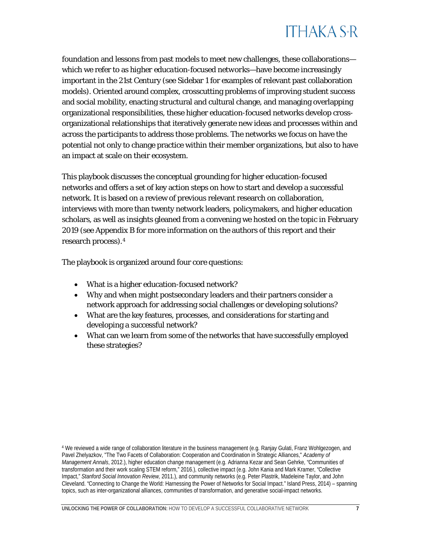foundation and lessons from past models to meet new challenges, these collaborations which we refer to as *higher education-focused networks*—have become increasingly important in the 21st Century (see Sidebar 1 for examples of relevant past collaboration models). Oriented around complex, crosscutting problems of improving student success and social mobility, enacting structural and cultural change, and managing overlapping organizational responsibilities, these higher education-focused networks develop crossorganizational relationships that iteratively generate new ideas and processes within and across the participants to address those problems. The networks we focus on have the potential not only to change practice within their member organizations, but also to have an impact at scale on their ecosystem.

This playbook discusses the conceptual grounding for higher education-focused networks and offers a set of key action steps on how to start and develop a successful network. It is based on a review of previous relevant research on collaboration, interviews with more than twenty network leaders, policymakers, and higher education scholars, as well as insights gleaned from a convening we hosted on the topic in February 2019 (see Appendix B for more information on the authors of this report and their research process).[4](#page-7-0)

The playbook is organized around four core questions:

- What is a higher education-focused network?
- Why and when might postsecondary leaders and their partners consider a network approach for addressing social challenges or developing solutions?
- What are the key features, processes, and considerations for starting and developing a successful network?
- What can we learn from some of the networks that have successfully employed these strategies?

<span id="page-7-0"></span><sup>4</sup> We reviewed a wide range of collaboration literature in the business management (e.g. Ranjay Gulati, Franz Wohlgezogen, and Pavel Zhelyazkov, "The Two Facets of Collaboration: Cooperation and Coordination in Strategic Alliances," *Academy of Management Annals*, 2012.), higher education change management (e.g. Adrianna Kezar and Sean Gehrke, "Communities of transformation and their work scaling STEM reform," 2016.), collective impact (e.g. John Kania and Mark Kramer, "Collective Impact," *Stanford Social Innovation Review,* 2011.), and community networks (e.g. Peter Plastrik, Madeleine Taylor, and John Cleveland. "Connecting to Change the World: Harnessing the Power of Networks for Social Impact." Island Press, 2014) – spanning topics, such as inter-organizational alliances, communities of transformation, and generative social-impact networks.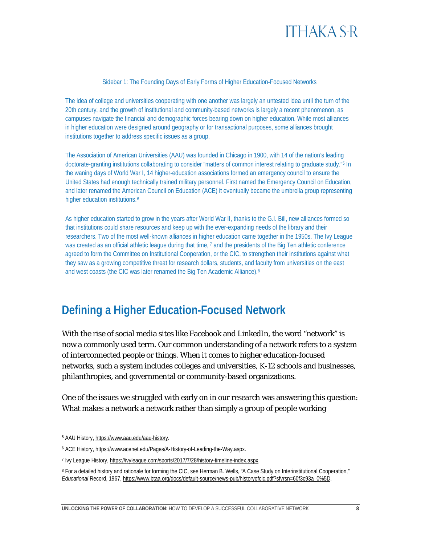#### Sidebar 1: The Founding Days of Early Forms of Higher Education-Focused Networks

The idea of college and universities cooperating with one another was largely an untested idea until the turn of the 20th century, and the growth of institutional and community-based networks is largely a recent phenomenon, as campuses navigate the financial and demographic forces bearing down on higher education. While most alliances in higher education were designed around geography or for transactional purposes, some alliances brought institutions together to address specific issues as a group.

The Association of American Universities (AAU) was founded in Chicago in 1900, with 14 of the nation's leading doctorate-granting institutions collaborating to consider "matters of common interest relating to graduate study."[5](#page-8-1) In the waning days of World War I, 14 higher-education associations formed an emergency council to ensure the United States had enough technically trained military personnel. First named the Emergency Council on Education, and later renamed the American Council on Education (ACE) it eventually became the umbrella group representing higher education institutions.<sup>[6](#page-8-2)</sup>

As higher education started to grow in the years after World War II, thanks to the G.I. Bill, new alliances formed so that institutions could share resources and keep up with the ever-expanding needs of the library and their researchers. Two of the most well-known alliances in higher education came together in the 1950s. The Ivy League was created as an official athletic league during that time, [7](#page-8-3) and the presidents of the Big Ten athletic conference agreed to form the Committee on Institutional Cooperation, or the CIC, to strengthen their institutions against what they saw as a growing competitive threat for research dollars, students, and faculty from universities on the east and west coasts (the CIC was later renamed the Big Ten Academic Alliance).[8](#page-8-4)

<span id="page-8-0"></span>**Defining a Higher Education-Focused Network**

With the rise of social media sites like Facebook and LinkedIn, the word "network" is now a commonly used term. Our common understanding of a network refers to a system of interconnected people or things. When it comes to higher education-focused networks, such a system includes colleges and universities, K-12 schools and businesses, philanthropies, and governmental or community-based organizations.

One of the issues we struggled with early on in our research was answering this question: What makes a network a network rather than simply a group of people working

<span id="page-8-1"></span><sup>5</sup> AAU History, [https://www.aau.edu/aau-history.](https://www.aau.edu/aau-history) 

<span id="page-8-2"></span><sup>6</sup> ACE History, [https://www.acenet.edu/Pages/A-History-of-Leading-the-Way.aspx.](https://www.acenet.edu/Pages/A-History-of-Leading-the-Way.aspx)

<span id="page-8-3"></span><sup>7</sup> Ivy League History, [https://ivyleague.com/sports/2017/7/28/history-timeline-index.aspx.](https://ivyleague.com/sports/2017/7/28/history-timeline-index.aspx) 

<span id="page-8-4"></span><sup>&</sup>lt;sup>8</sup> For a detailed history and rationale for forming the CIC, see Herman B. Wells, "A Case Study on Interinstitutional Cooperation," *Educational* Record, 1967, [https://www.btaa.org/docs/default-source/news-pub/historyofcic.pdf?sfvrsn=60f3c93a\\_0%5D.](https://www.btaa.org/docs/default-source/news-pub/historyofcic.pdf?sfvrsn=60f3c93a_0%5D)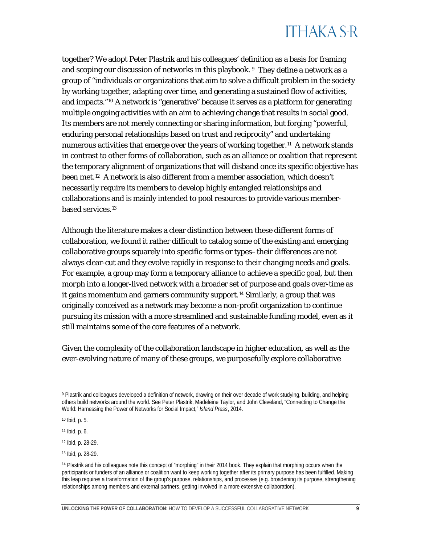together? We adopt Peter Plastrik and his colleagues' definition as a basis for framing and scoping our discussion of networks in this playbook. <sup>[9](#page-9-0)</sup> They define a network as a group of "individuals or organizations that aim to solve a difficult problem in the society by working together, adapting over time, and generating a sustained flow of activities, and impacts."[10](#page-9-1) A network is "generative" because it serves as a platform for generating multiple ongoing activities with an aim to achieving change that results in social good. Its members are not merely connecting or sharing information, but forging "powerful, enduring personal relationships based on trust and reciprocity" and undertaking numerous activities that emerge over the years of working together.<sup>11</sup> A network stands in contrast to other forms of collaboration, such as an alliance or coalition that represent the temporary alignment of organizations that will disband once its specific objective has been met.[12](#page-9-3) A network is also different from a member association, which doesn't necessarily require its members to develop highly entangled relationships and collaborations and is mainly intended to pool resources to provide various member-based services.<sup>[13](#page-9-4)</sup>

Although the literature makes a clear distinction between these different forms of collaboration, we found it rather difficult to catalog some of the existing and emerging collaborative groups squarely into specific forms or types–their differences are not always clear-cut and they evolve rapidly in response to their changing needs and goals. For example, a group may form a temporary alliance to achieve a specific goal, but then *morph into* a longer-lived network with a broader set of purpose and goals over-time as it gains momentum and garners community support.<sup>[14](#page-9-5)</sup> Similarly, a group that was originally conceived as a network may become a non-profit organization to continue pursuing its mission with a more streamlined and sustainable funding model, even as it still maintains some of the core features of a network.

Given the complexity of the collaboration landscape in higher education, as well as the ever-evolving nature of many of these groups, we purposefully explore collaborative

<span id="page-9-2"></span><sup>11</sup> Ibid, p. 6.

<span id="page-9-3"></span><sup>12</sup> Ibid, p. 28-29.

<span id="page-9-0"></span><sup>9</sup> Plastrik and colleagues developed a definition of network, drawing on their over decade of work studying, building, and helping others build networks around the world. See Peter Plastrik, Madeleine Taylor, and John Cleveland, "Connecting to Change the World: Harnessing the Power of Networks for Social Impact," *Island Press*, 2014.

<span id="page-9-1"></span><sup>10</sup> Ibid, p. 5.

<span id="page-9-4"></span><sup>13</sup> Ibid, p. 28-29.

<span id="page-9-5"></span><sup>14</sup> Plastrik and his colleagues note this concept of "morphing" in their 2014 book. They explain that morphing occurs when the participants or funders of an alliance or coalition want to keep working together after its primary purpose has been fulfilled. Making this leap requires a transformation of the group's purpose, relationships, and processes (e.g. broadening its purpose, strengthening relationships among members and external partners, getting involved in a more extensive collaboration).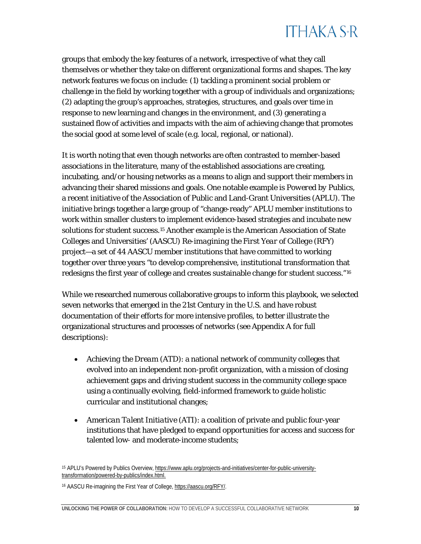groups that embody the key features of a network, irrespective of what they call themselves or whether they take on different organizational forms and shapes. The key network features we focus on include: (1) tackling a prominent social problem or challenge in the field by working together with a group of individuals and organizations; (2) adapting the group's approaches, strategies, structures, and goals over time in response to new learning and changes in the environment, and (3) generating a sustained flow of activities and impacts with the aim of achieving change that promotes the social good at some level of scale (e.g. local, regional, or national).

It is worth noting that even though networks are often contrasted to member-based associations in the literature, many of the established associations are creating, incubating, and/or housing networks as a means to align and support their members in advancing their shared missions and goals. One notable example is *Powered by Publics*, a recent initiative of the Association of Public and Land-Grant Universities (APLU). The initiative brings together a large group of "change-ready" APLU member institutions to work within smaller clusters to implement evidence-based strategies and incubate new solutions for student success.[15](#page-10-0) Another example is the American Association of State Colleges and Universities' (AASCU) *Re-imagining the First Year of College (RFY)* project—a set of 44 AASCU member institutions that have committed to working together over three years "to develop comprehensive, institutional transformation that redesigns the first year of college and creates sustainable change for student success."[16](#page-10-1)

While we researched numerous collaborative groups to inform this playbook, we selected seven networks that emerged in the 21st Century in the U.S. and have robust documentation of their efforts for more intensive profiles, to better illustrate the organizational structures and processes of networks (see Appendix A for full descriptions):

- *Achieving the Dream (ATD)*: a national network of community colleges that evolved into an independent non-profit organization, with a mission of closing achievement gaps and driving student success in the community college space using a continually evolving, field-informed framework to guide holistic curricular and institutional changes;
- *American Talent Initiative (ATI)*: a coalition of private and public four-year institutions that have pledged to expand opportunities for access and success for talented low- and moderate-income students;

<span id="page-10-0"></span><sup>15</sup> APLU's Powered by Publics Overview, [https://www.aplu.org/projects-and-initiatives/center-for-public-university](https://www.aplu.org/projects-and-initiatives/center-for-public-university-transformation/powered-by-publics/index.html)[transformation/powered-by-publics/index.html.](https://www.aplu.org/projects-and-initiatives/center-for-public-university-transformation/powered-by-publics/index.html)

<span id="page-10-1"></span><sup>16</sup> AASCU Re-imagining the First Year of College[, https://aascu.org/RFY/.](https://aascu.org/RFY/)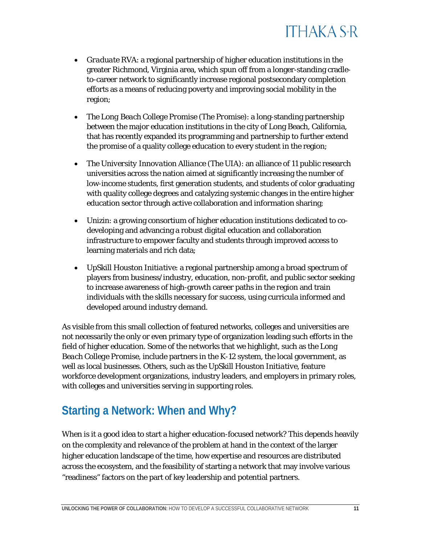

- *Graduate RVA*: a regional partnership of higher education institutions in the greater Richmond, Virginia area, which spun off from a longer-standing cradleto-career network to significantly increase regional postsecondary completion efforts as a means of reducing poverty and improving social mobility in the region;
- *The Long Beach College Promise (The Promise)*: a long-standing partnership between the major education institutions in the city of Long Beach, California, that has recently expanded its programming and partnership to further extend the promise of a quality college education to every student in the region;
- *The University Innovation Alliance (The UIA)*: an alliance of 11 public research universities across the nation aimed at significantly increasing the number of low-income students, first generation students, and students of color graduating with quality college degrees and catalyzing systemic changes in the entire higher education sector through active collaboration and information sharing;
- *Unizin*: a growing consortium of higher education institutions dedicated to codeveloping and advancing a robust digital education and collaboration infrastructure to empower faculty and students through improved access to learning materials and rich data;
- *UpSkill Houston Initiative*: a regional partnership among a broad spectrum of players from business/industry, education, non-profit, and public sector seeking to increase awareness of high-growth career paths in the region and train individuals with the skills necessary for success, using curricula informed and developed around industry demand.

As visible from this small collection of featured networks, colleges and universities are not necessarily the only or even primary type of organization leading such efforts in the field of higher education. Some of the networks that we highlight, such as the *Long Beach College Promise*, include partners in the K-12 system, the local government, as well as local businesses. Others, such as the *UpSkill Houston Initiative*, feature workforce development organizations, industry leaders, and employers in primary roles, with colleges and universities serving in supporting roles.

### <span id="page-11-0"></span>**Starting a Network: When and Why?**

When is it a good idea to start a higher education-focused network? This depends heavily on the complexity and relevance of the problem at hand in the context of the larger higher education landscape of the time, how expertise and resources are distributed across the ecosystem, and the feasibility of starting a network that may involve various "readiness" factors on the part of key leadership and potential partners.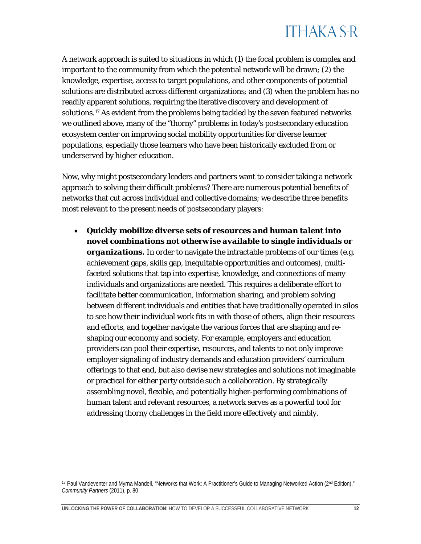

A network approach is suited to situations in which (1) the focal problem is complex and important to the community from which the potential network will be drawn; (2) the knowledge, expertise, access to target populations, and other components of potential solutions are distributed across different organizations; and (3) when the problem has no readily apparent solutions, requiring the iterative discovery and development of solutions.[17](#page-12-0) As evident from the problems being tackled by the seven featured networks we outlined above, many of the "thorny" problems in today's postsecondary education ecosystem center on improving social mobility opportunities for diverse learner populations, especially those learners who have been historically excluded from or underserved by higher education.

Now, why might postsecondary leaders and partners want to consider taking a network approach to solving their difficult problems? There are numerous potential benefits of networks that cut across individual and collective domains; we describe three benefits most relevant to the present needs of postsecondary players:

• *Quickly mobilize diverse sets of resources and human talent into novel combinations not otherwise available to single individuals or*  **organizations.** In order to navigate the intractable problems of our times (e.g. achievement gaps, skills gap, inequitable opportunities and outcomes), multifaceted solutions that tap into expertise, knowledge, and connections of many individuals and organizations are needed. This requires a deliberate effort to facilitate better communication, information sharing, and problem solving between different individuals and entities that have traditionally operated in silos to see how their individual work fits in with those of others, align their resources and efforts, and together navigate the various forces that are shaping and reshaping our economy and society. For example, employers and education providers can pool their expertise, resources, and talents to not only improve employer signaling of industry demands and education providers' curriculum offerings to that end, but also devise new strategies and solutions not imaginable or practical for either party outside such a collaboration. By strategically assembling novel, flexible, and potentially higher-performing combinations of human talent and relevant resources, a network serves as a powerful tool for addressing thorny challenges in the field more effectively and nimbly.

<span id="page-12-0"></span><sup>17</sup> Paul Vandeventer and Myrna Mandell, "Networks that Work: A Practitioner's Guide to Managing Networked Action (2<sup>nd</sup> Edition)," *Community Partners* (2011), p. 80.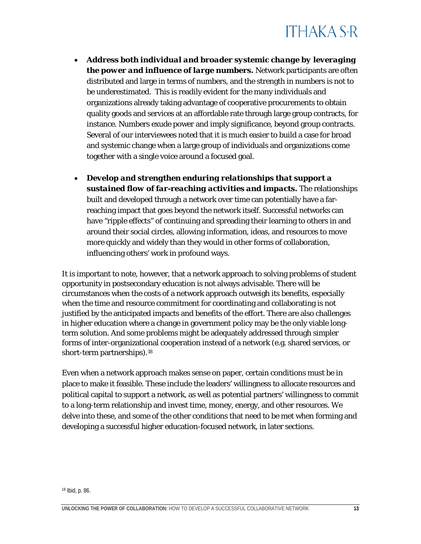- *Address both individual and broader systemic change by leveraging the power and influence of large numbers.* Network participants are often distributed and large in terms of numbers, and the strength in numbers is not to be underestimated. This is readily evident for the many individuals and organizations already taking advantage of cooperative procurements to obtain quality goods and services at an affordable rate through large group contracts, for instance. Numbers exude power and imply significance, beyond group contracts. Several of our interviewees noted that it is much easier to build a case for broad and systemic change when a large group of individuals and organizations come together with a single voice around a focused goal.
- *Develop and strengthen enduring relationships that support a sustained flow of far-reaching activities and impacts.* The relationships built and developed through a network over time can potentially have a farreaching impact that goes beyond the network itself. Successful networks can have "ripple effects" of continuing and spreading their learning to others in and around their social circles, allowing information, ideas, and resources to move more quickly and widely than they would in other forms of collaboration, influencing others' work in profound ways.

It is important to note, however, that a network approach to solving problems of student opportunity in postsecondary education is not always advisable. There will be circumstances when the costs of a network approach outweigh its benefits, especially when the time and resource commitment for coordinating and collaborating is not justified by the anticipated impacts and benefits of the effort. There are also challenges in higher education where a change in government policy may be the only viable longterm solution. And some problems might be adequately addressed through simpler forms of inter-organizational cooperation instead of a network (e.g. shared services, or short-term partnerships).[18](#page-13-0)

Even when a network approach makes sense on paper, certain conditions must be in place to make it feasible. These include the leaders' willingness to allocate resources and political capital to support a network, as well as potential partners' willingness to commit to a long-term relationship and invest time, money, energy, and other resources. We delve into these, and some of the other conditions that need to be met when forming and developing a successful higher education-focused network, in later sections.

<span id="page-13-0"></span>

<sup>18</sup> Ibid, p. 86.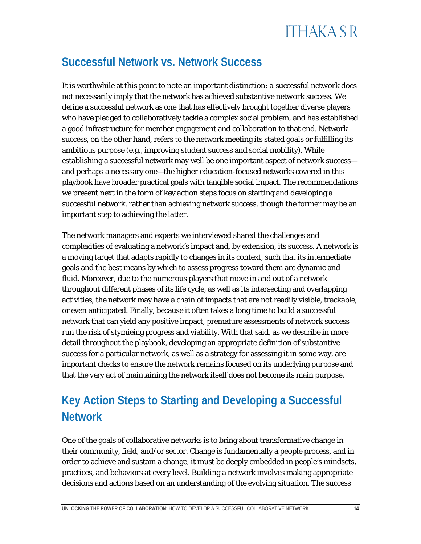### <span id="page-14-0"></span>**Successful Network vs. Network Success**

It is worthwhile at this point to note an important distinction: *a successful network* does not necessarily imply that the network has achieved substantive *network success*. We define a successful network as one that has effectively brought together diverse players who have pledged to collaboratively tackle a complex social problem, and has established a good infrastructure for member engagement and collaboration to that end. Network success, on the other hand, refers to the network meeting its stated goals or fulfilling its ambitious purpose (e.g., improving student success and social mobility). While establishing a successful network may well be one important aspect of network success and perhaps a necessary one—the higher education-focused networks covered in this playbook have broader practical goals with tangible social impact. The recommendations we present next in the form of key action steps focus on starting and developing a successful network, rather than achieving network success, though the former may be an important step to achieving the latter.

The network managers and experts we interviewed shared the challenges and complexities of evaluating a network's impact and, by extension, its success. A network is a moving target that adapts rapidly to changes in its context, such that its intermediate goals and the best means by which to assess progress toward them are dynamic and fluid. Moreover, due to the numerous players that move in and out of a network throughout different phases of its life cycle, as well as its intersecting and overlapping activities, the network may have a chain of impacts that are not readily visible, trackable, or even anticipated. Finally, because it often takes a long time to build a successful network that can yield any positive impact, premature assessments of network success run the risk of stymieing progress and viability. With that said, as we describe in more detail throughout the playbook, developing an appropriate definition of substantive success for a particular network, as well as a strategy for assessing it in some way, are important checks to ensure the network remains focused on its underlying purpose and that the very act of maintaining the network itself does not become its main purpose.

### <span id="page-14-1"></span>**Key Action Steps to Starting and Developing a Successful Network**

One of the goals of collaborative networks is to bring about transformative change in their community, field, and/or sector. Change is fundamentally a people process, and in order to achieve and sustain a change, it must be deeply embedded in people's mindsets, practices, and behaviors at every level. Building a network involves making appropriate decisions and actions based on an understanding of the evolving situation. The success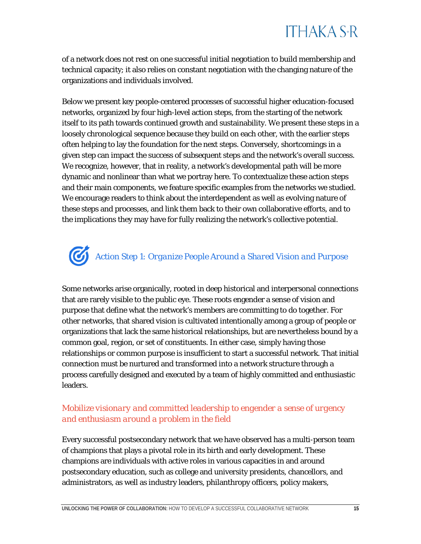of a network does not rest on one successful initial negotiation to build membership and technical capacity; it also relies on constant negotiation with the changing nature of the organizations and individuals involved.

Below we present key people-centered processes of successful higher education-focused networks, organized by four high-level action steps, from the starting of the network itself to its path towards continued growth and sustainability. We present these steps in a loosely chronological sequence because they build on each other, with the earlier steps often helping to lay the foundation for the next steps. Conversely, shortcomings in a given step can impact the success of subsequent steps and the network's overall success. We recognize, however, that in reality, a network's developmental path will be more dynamic and nonlinear than what we portray here. To contextualize these action steps and their main components, we feature specific examples from the networks we studied. We encourage readers to think about the interdependent as well as evolving nature of these steps and processes, and link them back to their own collaborative efforts, and to the implications they may have for fully realizing the network's collective potential.

## <span id="page-15-0"></span>*Action Step 1: Organize People Around a Shared Vision and Purpose*

Some networks arise organically, rooted in deep historical and interpersonal connections that are rarely visible to the public eye. These roots engender a sense of vision and purpose that define what the network's members are committing to do together. For other networks, that shared vision is cultivated intentionally among a group of people or organizations that lack the same historical relationships, but are nevertheless bound by a common goal, region, or set of constituents. In either case, simply having those relationships or common purpose is insufficient to start a successful network. That initial connection must be nurtured and transformed into a network structure through a process carefully designed and executed by a team of highly committed and enthusiastic leaders.

#### *Mobilize visionary and committed leadership to engender a sense of urgency and enthusiasm around a problem in the field*

Every successful postsecondary network that we have observed has a multi-person team of champions that plays a pivotal role in its birth and early development. These champions are individuals with active roles in various capacities in and around postsecondary education, such as college and university presidents, chancellors, and administrators, as well as industry leaders, philanthropy officers, policy makers,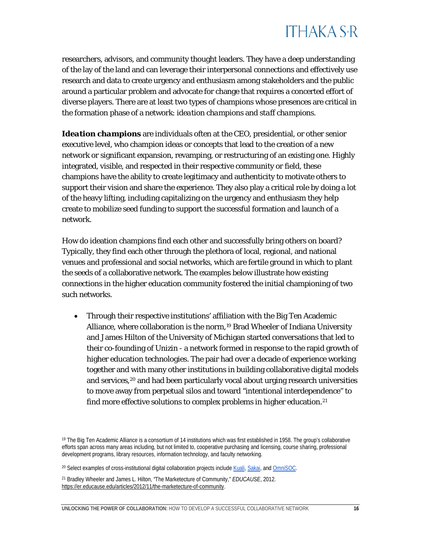researchers, advisors, and community thought leaders. They have a deep understanding of the lay of the land and can leverage their interpersonal connections and effectively use research and data to create urgency and enthusiasm among stakeholders and the public around a particular problem and advocate for change that requires a concerted effort of diverse players. There are at least two types of champions whose presences are critical in the formation phase of a network: *ideation champions* and *staff champions*.

*Ideation champions* are individuals often at the CEO, presidential, or other senior executive level, who champion ideas or concepts that lead to the creation of a new network or significant expansion, revamping, or restructuring of an existing one. Highly integrated, visible, and respected in their respective community or field, these champions have the ability to create legitimacy and authenticity to motivate others to support their vision and share the experience. They also play a critical role by doing a lot of the heavy lifting, including capitalizing on the urgency and enthusiasm they help create to mobilize seed funding to support the successful formation and launch of a network.

How do ideation champions find each other and successfully bring others on board? Typically, they find each other through the plethora of local, regional, and national venues and professional and social networks, which are fertile ground in which to plant the seeds of a collaborative network. The examples below illustrate how existing connections in the higher education community fostered the initial championing of two such networks.

• Through their respective institutions' affiliation with the Big Ten Academic Alliance, where collaboration is the norm,[19](#page-16-0) Brad Wheeler of Indiana University and James Hilton of the University of Michigan started conversations that led to their co-founding of *Unizin* - a network formed in response to the rapid growth of higher education technologies. The pair had over a decade of experience working together and with many other institutions in building collaborative digital models and services,<sup>[20](#page-16-1)</sup> and had been particularly vocal about urging research universities to move away from perpetual silos and toward "intentional interdependence" to find more effective solutions to complex problems in higher education.<sup>[21](#page-16-2)</sup>

<span id="page-16-0"></span><sup>19</sup> The Big Ten Academic Alliance is a consortium of 14 institutions which was first established in 1958. The group's collaborative efforts span across many areas including, but not limited to, cooperative purchasing and licensing, course sharing, professional development programs, library resources, information technology, and faculty networking.

<span id="page-16-1"></span><sup>&</sup>lt;sup>20</sup> Select examples of cross-institutional digital collaboration projects includ[e Kuali,](https://www.kuali.co/) [Sakai,](https://www.sakailms.org/) and OmniSOC.

<span id="page-16-2"></span><sup>21</sup> Bradley Wheeler and James L. Hilton, "The Marketecture of Community," *EDUCAUSE*, 2012. [https://er.educause.edu/articles/2012/11/the-marketecture-of-community.](https://er.educause.edu/articles/2012/11/the-marketecture-of-community)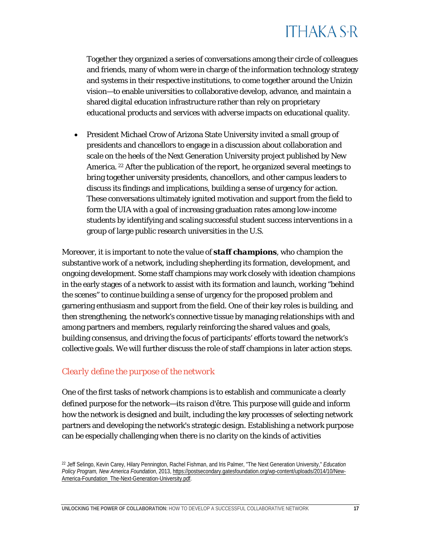Together they organized a series of conversations among their circle of colleagues and friends, many of whom were in charge of the information technology strategy and systems in their respective institutions, to come together around the *Unizin* vision—to enable universities to collaborative develop, advance, and maintain a shared digital education infrastructure rather than rely on proprietary educational products and services with adverse impacts on educational quality.

• President Michael Crow of Arizona State University invited a small group of presidents and chancellors to engage in a discussion about collaboration and scale on the heels of the Next Generation University project published by New America. [22](#page-17-0) After the publication of the report, he organized several meetings to bring together university presidents, chancellors, and other campus leaders to discuss its findings and implications, building a sense of urgency for action. These conversations ultimately ignited motivation and support from the field to form the *UIA* with a goal of increasing graduation rates among low-income students by identifying and scaling successful student success interventions in a group of large public research universities in the U.S.

Moreover, it is important to note the value of *staff champions,* who champion the substantive work of a network, including shepherding its formation, development, and ongoing development. Some staff champions may work closely with ideation champions in the early stages of a network to assist with its formation and launch, working "behind the scenes" to continue building a sense of urgency for the proposed problem and garnering enthusiasm and support from the field. One of their key roles is building, and then strengthening, the network's connective tissue by managing relationships with and among partners and members, regularly reinforcing the shared values and goals, building consensus, and driving the focus of participants' efforts toward the network's collective goals. We will further discuss the role of staff champions in later action steps.

#### *Clearly define the purpose of the network*

One of the first tasks of network champions is to establish and communicate a clearly defined purpose for the network—its *raison d'être*. This purpose will guide and inform how the network is designed and built, including the key processes of selecting network partners and developing the network's strategic design. Establishing a network purpose can be especially challenging when there is no clarity on the kinds of activities

<span id="page-17-0"></span><sup>22</sup> Jeff Selingo, Kevin Carey, Hilary Pennington, Rachel Fishman, and Iris Palmer, "The Next Generation University," *Education Policy Program, New America Foundation*, 2013[, https://postsecondary.gatesfoundation.org/wp-content/uploads/2014/10/New-](https://postsecondary.gatesfoundation.org/wp-content/uploads/2014/10/New-America-Foundation_The-Next-Generation-University.pdf)[America-Foundation\\_The-Next-Generation-University.pdf.](https://postsecondary.gatesfoundation.org/wp-content/uploads/2014/10/New-America-Foundation_The-Next-Generation-University.pdf)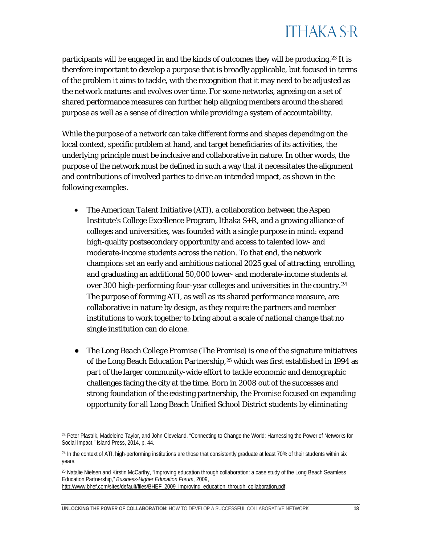participants will be engaged in and the kinds of outcomes they will be producing.[23](#page-18-0) It is therefore important to develop a purpose that is broadly applicable, but focused in terms of the problem it aims to tackle, with the recognition that it may need to be adjusted as the network matures and evolves over time. For some networks, agreeing on a set of shared performance measures can further help aligning members around the shared purpose as well as a sense of direction while providing a system of accountability.

While the purpose of a network can take different forms and shapes depending on the local context, specific problem at hand, and target beneficiaries of its activities, the underlying principle must be inclusive and collaborative in nature. In other words, the purpose of the network must be defined in such a way that it necessitates the alignment and contributions of involved parties to drive an intended impact, as shown in the following examples.

- The *American Talent Initiative (ATI)*, a collaboration between the Aspen Institute's College Excellence Program, Ithaka S+R, and a growing alliance of colleges and universities, was founded with a single purpose in mind: expand high-quality postsecondary opportunity and access to talented low- and moderate-income students across the nation. To that end, the network champions set an early and ambitious national 2025 goal of attracting, enrolling, and graduating an additional 50,000 lower- and moderate-income students at over 300 high-performing four-year colleges and universities in the country.[24](#page-18-1) The purpose of forming *ATI*, as well as its shared performance measure, are collaborative in nature by design, as they require the partners and member institutions to work together to bring about a scale of national change that no single institution can do alone.
- *The Long Beach College Promise (The Promise)* is one of the signature initiatives of the Long Beach Education Partnership*,*[25](#page-18-2) which was first established in 1994 as part of the larger community-wide effort to tackle economic and demographic challenges facing the city at the time. Born in 2008 out of the successes and strong foundation of the existing partnership, the *Promise* focused on expanding opportunity for all Long Beach Unified School District students by eliminating

<span id="page-18-0"></span><sup>23</sup> Peter Plastrik, Madeleine Taylor, and John Cleveland, "Connecting to Change the World: Harnessing the Power of Networks for Social Impact," Island Press, 2014, p. 44.

<span id="page-18-1"></span><sup>&</sup>lt;sup>24</sup> In the context of ATI, high-performing institutions are those that consistently graduate at least 70% of their students within six years.

<span id="page-18-2"></span><sup>25</sup> Natalie Nielsen and Kirstin McCarthy, "Improving education through collaboration: a case study of the Long Beach Seamless Education Partnership," *Business-Higher Education Forum*, 2009, [http://www.bhef.com/sites/default/files/BHEF\\_2009\\_improving\\_education\\_through\\_collaboration.pdf.](http://www.bhef.com/sites/default/files/BHEF_2009_improving_education_through_collaboration.pdf)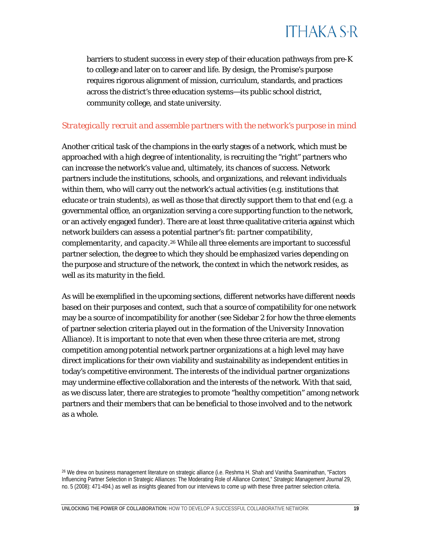

barriers to student success in every step of their education pathways from pre-K to college and later on to career and life. By design, the *Promise*'s purpose requires rigorous alignment of mission, curriculum, standards, and practices across the district's three education systems—its public school district, community college, and state university.

#### *Strategically recruit and assemble partners with the network's purpose in mind*

Another critical task of the champions in the early stages of a network, which must be approached with a high degree of intentionality, is recruiting the "right" partners who can increase the network's value and, ultimately, its chances of success. Network partners include the institutions, schools, and organizations, and relevant individuals within them, who will carry out the network's actual activities (e.g. institutions that educate or train students), as well as those that directly support them to that end (e.g. a governmental office, an organization serving a core supporting function to the network, or an actively engaged funder). There are at least three qualitative criteria against which network builders can assess a potential partner's fit: *partner compatibility*, *complementarity*, and *capacity*.[26](#page-19-0) While all three elements are important to successful partner selection, the degree to which they should be emphasized varies depending on the purpose and structure of the network, the context in which the network resides, as well as its maturity in the field.

As will be exemplified in the upcoming sections, different networks have different needs based on their purposes and context, such that a source of compatibility for one network may be a source of incompatibility for another (see Sidebar 2 for how the three elements of partner selection criteria played out in the formation of the *University Innovation Alliance*)*.* It is important to note that even when these three criteria are met, strong competition among potential network partner organizations at a high level may have direct implications for their own viability and sustainability as independent entities in today's competitive environment. The interests of the individual partner organizations may undermine effective collaboration and the interests of the network. With that said, as we discuss later, there are strategies to promote "healthy competition" among network partners and their members that can be beneficial to those involved and to the network as a whole.

<span id="page-19-0"></span><sup>26</sup> We drew on business management literature on strategic alliance (i.e. Reshma H. Shah and Vanitha Swaminathan, "Factors Influencing Partner Selection in Strategic Alliances: The Moderating Role of Alliance Context," *Strategic Management Journal* 29, no. 5 (2008): 471-494.) as well as insights gleaned from our interviews to come up with these three partner selection criteria.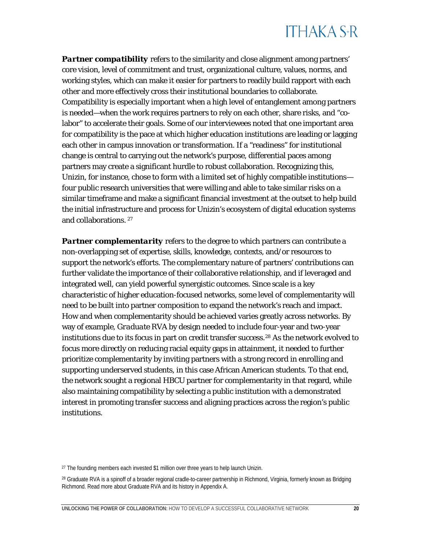**Partner compatibility** refers to the similarity and close alignment among partners' core vision, level of commitment and trust, organizational culture, values, norms, and working styles, which can make it easier for partners to readily build rapport with each other and more effectively cross their institutional boundaries to collaborate. Compatibility is especially important when a high level of entanglement among partners is needed—when the work requires partners to rely on each other, share risks, and "colabor" to accelerate their goals. Some of our interviewees noted that one important area for compatibility is the pace at which higher education institutions are leading or lagging each other in campus innovation or transformation. If a "readiness" for institutional change is central to carrying out the network's purpose, differential paces among partners may create a significant hurdle to robust collaboration. Recognizing this, *Unizin,* for instance, chose to form with a limited set of highly compatible institutions four public research universities that were willing and able to take similar risks on a similar timeframe and make a significant financial investment at the outset to help build the initial infrastructure and process for *Unizin*'s ecosystem of digital education systems and collaborations. [27](#page-20-0)

**Partner complementarity** refers to the degree to which partners can contribute a non-overlapping set of expertise, skills, knowledge, contexts, and/or resources to support the network's efforts. The complementary nature of partners' contributions can further validate the importance of their collaborative relationship, and if leveraged and integrated well, can yield powerful synergistic outcomes. Since scale is a key characteristic of higher education-focused networks, some level of complementarity will need to be built into partner composition to expand the network's reach and impact. How and when complementarity should be achieved varies greatly across networks. By way of example, *Graduate RVA* by design needed to include four-year and two-year institutions due to its focus in part on credit transfer success.[28](#page-20-1) As the network evolved to focus more directly on reducing racial equity gaps in attainment, it needed to further prioritize complementarity by inviting partners with a strong record in enrolling and supporting underserved students, in this case African American students. To that end, the network sought a regional HBCU partner for complementarity in that regard, while also maintaining compatibility by selecting a public institution with a demonstrated interest in promoting transfer success and aligning practices across the region's public institutions.

<span id="page-20-0"></span> $27$  The founding members each invested \$1 million over three years to help launch Unizin.

<span id="page-20-1"></span><sup>&</sup>lt;sup>28</sup> Graduate RVA is a spinoff of a broader regional cradle-to-career partnership in Richmond, Virginia, formerly known as Bridging Richmond. Read more about Graduate RVA and its history in Appendix A.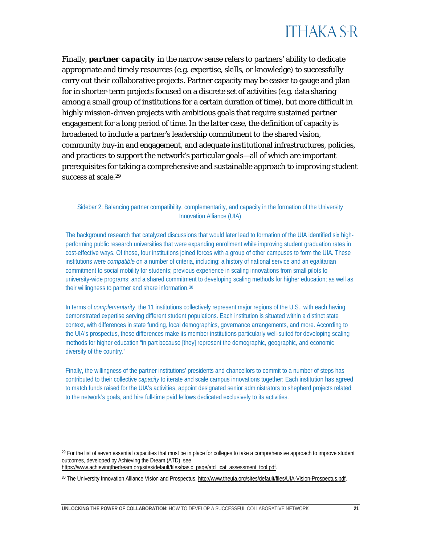

Finally, *partner capacity* in the narrow sense refers to partners' ability to dedicate appropriate and timely resources (e.g. expertise, skills, or knowledge) to successfully carry out their collaborative projects. Partner capacity may be easier to gauge and plan for in shorter-term projects focused on a discrete set of activities (e.g. data sharing among a small group of institutions for a certain duration of time), but more difficult in highly mission-driven projects with ambitious goals that require sustained partner engagement for a long period of time. In the latter case, the definition of capacity is broadened to include a partner's leadership commitment to the shared vision, community buy-in and engagement, and adequate institutional infrastructures, policies, and practices to support the network's particular goals—all of which are important prerequisites for taking a comprehensive and sustainable approach to improving student success at scale.<sup>[29](#page-21-0)</sup>

#### Sidebar 2: Balancing partner compatibility, complementarity, and capacity in the formation of the University Innovation Alliance (UIA)

The background research that catalyzed discussions that would later lead to formation of the UIA identified six highperforming public research universities that were expanding enrollment while improving student graduation rates in cost-effective ways. Of those, four institutions joined forces with a group of other campuses to form the UIA. These institutions were *compatible* on a number of criteria, including: a history of national service and an egalitarian commitment to social mobility for students; previous experience in scaling innovations from small pilots to university-wide programs; and a shared commitment to developing scaling methods for higher education; as well as their willingness to partner and share information.[30](#page-21-1)

In terms of *complementarity*, the 11 institutions collectively represent major regions of the U.S., with each having demonstrated expertise serving different student populations. Each institution is situated within a distinct state context, with differences in state funding, local demographics, governance arrangements, and more. According to the UIA's prospectus, these differences make its member institutions particularly well-suited for developing scaling methods for higher education "in part because [they] represent the demographic, geographic, and economic diversity of the country."

Finally, the willingness of the partner institutions' presidents and chancellors to commit to a number of steps has contributed to their collective *capacity* to iterate and scale campus innovations together: Each institution has agreed to match funds raised for the UIA's activities, appoint designated senior administrators to shepherd projects related to the network's goals, and hire full-time paid fellows dedicated exclusively to its activities.

<span id="page-21-0"></span> $^{29}$  For the list of seven essential capacities that must be in place for colleges to take a comprehensive approach to improve student outcomes, developed by Achieving the Dream (ATD), see [https://www.achievingthedream.org/sites/default/files/basic\\_page/atd\\_icat\\_assessment\\_tool.pdf.](https://www.achievingthedream.org/sites/default/files/basic_page/atd_icat_assessment_tool.pdf) 

<span id="page-21-1"></span><sup>30</sup> The University Innovation Alliance Vision and Prospectus[, http://www.theuia.org/sites/default/files/UIA-Vision-Prospectus.pdf.](http://www.theuia.org/sites/default/files/UIA-Vision-Prospectus.pdf)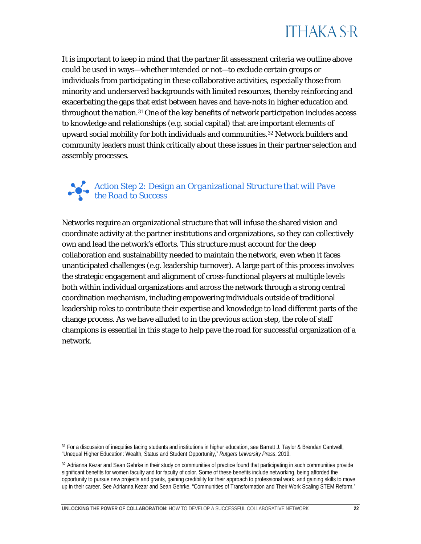

It is important to keep in mind that the partner fit assessment criteria we outline above could be used in ways—whether intended or not—to exclude certain groups or individuals from participating in these collaborative activities, especially those from minority and underserved backgrounds with limited resources, thereby reinforcing and exacerbating the gaps that exist between haves and have-nots in higher education and throughout the nation.[31](#page-22-1) One of the key benefits of network participation includes access to knowledge and relationships (e.g. social capital) that are important elements of upward social mobility for both individuals and communities.[32](#page-22-2) Network builders and community leaders must think critically about these issues in their partner selection and assembly processes.

#### <span id="page-22-0"></span>*Action Step 2: Design an Organizational Structure that will Pave the Road to Success*

Networks require an organizational structure that will infuse the shared vision and coordinate activity at the partner institutions and organizations, so they can collectively own and lead the network's efforts. This structure must account for the deep collaboration and sustainability needed to maintain the network, even when it faces unanticipated challenges (e.g. leadership turnover). A large part of this process involves the strategic engagement and alignment of cross-functional players at multiple levels both within individual organizations and across the network through a strong central coordination mechanism, including empowering individuals outside of traditional leadership roles to contribute their expertise and knowledge to lead different parts of the change process. As we have alluded to in the previous action step, the role of staff champions is essential in this stage to help pave the road for successful organization of a network.

<sup>31</sup> For a discussion of inequities facing students and institutions in higher education, see Barrett J. Taylor & Brendan Cantwell, "Unequal Higher Education: Wealth, Status and Student Opportunity," *Rutgers University Press*, 2019.

<span id="page-22-2"></span><sup>32</sup> Adrianna Kezar and Sean Gehrke in their study on communities of practice found that participating in such communities provide significant benefits for women faculty and for faculty of color. Some of these benefits include networking, being afforded the opportunity to pursue new projects and grants, gaining credibility for their approach to professional work, and gaining skills to move up in their career. See Adrianna Kezar and Sean Gehrke, "Communities of Transformation and Their Work Scaling STEM Reform."

<span id="page-22-1"></span>

**UNLOCKING THE POWER OF COLLABORATION:** HOW TO DEVELOP A SUCCESSFUL COLLABORATIVE NETWORK **22**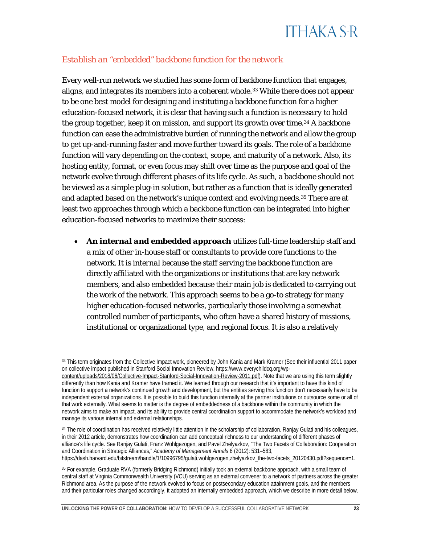#### *Establish an "embedded" backbone function for the network*

Every well-run network we studied has some form of backbone function that engages, aligns, and integrates its members into a coherent whole.<sup>[33](#page-23-0)</sup> While there does not appear to be one best model for designing and instituting a backbone function for a higher education-focused network, it is clear that having such a function is *necessary* to hold the group together, keep it on mission, and support its growth over time.<sup>[34](#page-23-1)</sup> A backbone function can ease the administrative burden of running the network and allow the group to get up-and-running faster and move further toward its goals. The role of a backbone function will vary depending on the context, scope, and maturity of a network. Also, its hosting entity, format, or even focus may shift over time as the purpose and goal of the network evolve through different phases of its life cycle. As such, a backbone should not be viewed as a simple plug-in solution, but rather as a function that is ideally generated and adapted based on the network's unique context and evolving needs.<sup>[35](#page-23-2)</sup> There are at least two approaches through which a backbone function can be integrated into higher education-focused networks to maximize their success:

• *An internal and embedded approach* utilizes full-time leadership staff and a mix of other in-house staff or consultants to provide core functions to the network. It is *internal* because the staff serving the backbone function are directly affiliated with the organizations or institutions that are key network members, and also *embedded* because their main job is dedicated to carrying out the work of the network. This approach seems to be a go-to strategy for many higher education-focused networks, particularly those involving a somewhat controlled number of participants, who often have a shared history of missions, institutional or organizational type, and regional focus. It is also a relatively

<span id="page-23-2"></span><sup>35</sup> For example, Graduate RVA (formerly Bridging Richmond) initially took an external backbone approach, with a small team of central staff at Virginia Commonwealth University (VCU) serving as an external convener to a network of partners across the greater Richmond area. As the purpose of the network evolved to focus on postsecondary education attainment goals, and the members and their particular roles changed accordingly, it adopted an internally embedded approach, which we describe in more detail below.

<span id="page-23-0"></span><sup>33</sup> This term originates from the Collective Impact work, pioneered by John Kania and Mark Kramer (See their influential 2011 paper on collective impact published in Stanford Social Innovation Review[, https://www.everychildcq.org/wp-](https://www.everychildcq.org/wp-content/uploads/2018/06/Collective-Impact-Stanford-Social-Innovation-Review-2011.pdf)

[content/uploads/2018/06/Collective-Impact-Stanford-Social-Innovation-Review-2011.pdf\)](https://www.everychildcq.org/wp-content/uploads/2018/06/Collective-Impact-Stanford-Social-Innovation-Review-2011.pdf). Note that we are using this term slightly differently than how Kania and Kramer have framed it. We learned through our research that it's important to have this kind of function to support a network's continued growth and development, but the entities serving this function don't necessarily have to be independent external organizations. It is possible to build this function internally at the partner institutions or outsource some or all of that work externally. What seems to matter is the degree of embeddedness of a backbone within the community in which the network aims to make an impact, and its ability to provide central coordination support to accommodate the network's workload and manage its various internal and external relationships.

<span id="page-23-1"></span><sup>34</sup> The role of coordination has received relatively little attention in the scholarship of collaboration. Ranjay Gulati and his colleagues, in their 2012 article, demonstrates how coordination can add conceptual richness to our understanding of different phases of alliance's life cycle. See Ranjay Gulati, Franz Wohlgezogen, and Pavel Zhelyazkov, "The Two Facets of Collaboration: Cooperation and Coordination in Strategic Alliances," *Academy of Management Annals* 6 (2012): 531–583, [https://dash.harvard.edu/bitstream/handle/1/10996795/gulati,wohlgezogen,zhelyazkov\\_the-two-facets\\_20120430.pdf?sequence=1.](https://dash.harvard.edu/bitstream/handle/1/10996795/gulati,wohlgezogen,zhelyazkov_the-two-facets_20120430.pdf?sequence=1)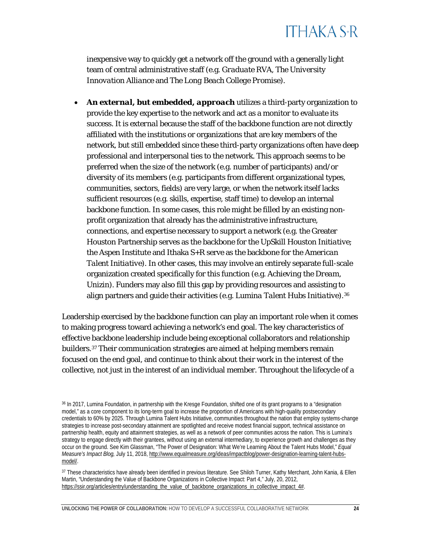inexpensive way to quickly get a network off the ground with a generally light team of central administrative staff (e.g. *Graduate RVA*, *The University Innovation Alliance* and *The Long Beach College Promise*).

• *An external, but embedded, approach* utilizes a third-party organization to provide the key expertise to the network and act as a monitor to evaluate its success. It is *external* because the staff of the backbone function are not directly affiliated with the institutions or organizations that are key members of the network, but still *embedded* since these third-party organizations often have deep professional and interpersonal ties to the network. This approach seems to be preferred when the size of the network (e.g. number of participants) and/or diversity of its members (e.g. participants from different organizational types, communities, sectors, fields) are very large, or when the network itself lacks sufficient resources (e.g. skills, expertise, staff time) to develop an internal backbone function. In some cases, this role might be filled by an existing nonprofit organization that already has the administrative infrastructure, connections, and expertise necessary to support a network (e.g. the Greater Houston Partnership serves as the backbone for the *UpSkill Houston Initiative*; the Aspen Institute and Ithaka S+R serve as the backbone for the *American Talent Initiative*). In other cases, this may involve an entirely separate full-scale organization created specifically for this function (e.g. *Achieving the Dream*, *Unizin*). Funders may also fill this gap by providing resources and assisting to align partners and guide their activities (e.g. *Lumina Talent Hubs Initiative*).[36](#page-24-0)

Leadership exercised by the backbone function can play an important role when it comes to making progress toward achieving a network's end goal. The key characteristics of effective backbone leadership include being exceptional collaborators and relationship builders.[37](#page-24-1) Their communication strategies are aimed at helping members remain focused on the end goal, and continue to think about their work in the interest of the collective, not just in the interest of an individual member. Throughout the lifecycle of a

<span id="page-24-1"></span>37 These characteristics have already been identified in previous literature. See Shiloh Turner, Kathy Merchant, John Kania, & Ellen Martin, "Understanding the Value of Backbone Organizations in Collective Impact: Part 4," July, 20, 2012, [https://ssir.org/articles/entry/understanding\\_the\\_value\\_of\\_backbone\\_organizations\\_in\\_collective\\_impact\\_4#.](https://ssir.org/articles/entry/understanding_the_value_of_backbone_organizations_in_collective_impact_4)

<span id="page-24-0"></span><sup>36</sup> In 2017, Lumina Foundation, in partnership with the Kresge Foundation, shifted one of its grant programs to a "designation model," as a core component to its long-term goal to increase the proportion of Americans with high-quality postsecondary credentials to 60% by 2025. Through Lumina Talent Hubs Initiative, communities throughout the nation that employ systems-change strategies to increase post-secondary attainment are spotlighted and receive modest financial support, technical assistance on partnership health, equity and attainment strategies, as well as a network of peer communities across the nation. This is Lumina's strategy to engage directly with their grantees, without using an external intermediary, to experience growth and challenges as they occur on the ground. See Kim Glassman, "The Power of Designation: What We're Learning About the Talent Hubs Model," *Equal Measure's Impact Blog,* July 11, 2018[, http://www.equalmeasure.org/ideas/impactblog/power-designation-learning-talent-hubs](http://www.equalmeasure.org/ideas/impactblog/power-designation-learning-talent-hubs-model/)[model/.](http://www.equalmeasure.org/ideas/impactblog/power-designation-learning-talent-hubs-model/)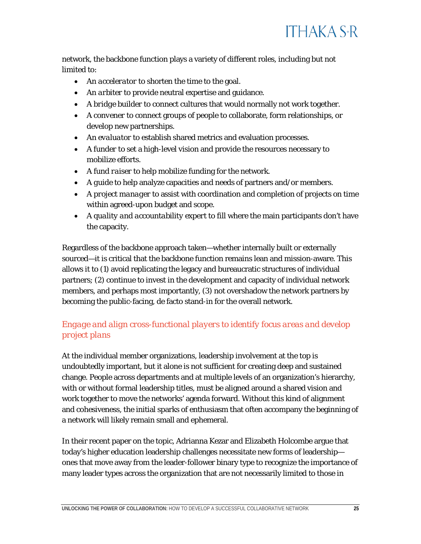

network, the backbone function plays a variety of different roles, including but not limited to:

- An *accelerator* to shorten the time to the goal.
- An *arbiter* to provide neutral expertise and guidance.
- A *bridge builder* to connect cultures that would normally not work together.
- A *convener* to connect groups of people to collaborate, form relationships, or develop new partnerships.
- An *evaluator* to establish shared metrics and evaluation processes.
- A *funder* to set a high-level vision and provide the resources necessary to mobilize efforts.
- A *fund raiser* to help mobilize funding for the network.
- A *guide* to help analyze capacities and needs of partners and/or members.
- A *project manager* to assist with coordination and completion of projects on time within agreed-upon budget and scope.
- A *quality and accountability expert* to fill where the main participants don't have the capacity.

Regardless of the backbone approach taken—whether internally built or externally sourced—it is critical that the backbone function remains lean and mission-aware. This allows it to (1) avoid replicating the legacy and bureaucratic structures of individual partners; (2) continue to invest in the development and capacity of individual network members, and perhaps most importantly, (3) not overshadow the network partners by becoming the public-facing, de facto stand-in for the overall network.

### *Engage and align cross-functional players to identify focus areas and develop project plans*

At the individual member organizations, leadership involvement at the top is undoubtedly important, but it alone is not sufficient for creating deep and sustained change. People across departments and at multiple levels of an organization's hierarchy, with or without formal leadership titles, must be aligned around a shared vision and work together to move the networks' agenda forward. Without this kind of alignment and cohesiveness, the initial sparks of enthusiasm that often accompany the beginning of a network will likely remain small and ephemeral.

In their recent paper on the topic, Adrianna Kezar and Elizabeth Holcombe argue that today's higher education leadership challenges necessitate new forms of leadership ones that move away from the leader-follower binary type to recognize the importance of many leader types across the organization that are not necessarily limited to those in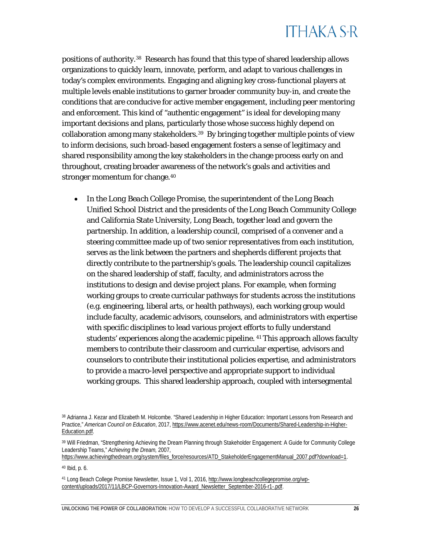positions of authority.[38](#page-26-0) Research has found that this type of shared leadership allows organizations to quickly learn, innovate, perform, and adapt to various challenges in today's complex environments. Engaging and aligning key cross-functional players at multiple levels enable institutions to garner broader community buy-in, and create the conditions that are conducive for active member engagement, including peer mentoring and enforcement. This kind of "authentic engagement" is ideal for developing many important decisions and plans, particularly those whose success highly depend on collaboration among many stakeholders.<sup>39</sup> By bringing together multiple points of view to inform decisions, such broad-based engagement fosters a sense of legitimacy and shared responsibility among the key stakeholders in the change process early on and throughout, creating broader awareness of the network's goals and activities and stronger momentum for change.<sup>[40](#page-26-2)</sup>

• In the *Long Beach College Promise*, the superintendent of the Long Beach Unified School District and the presidents of the Long Beach Community College and California State University, Long Beach, together lead and govern the partnership. In addition, a leadership council, comprised of a convener and a steering committee made up of two senior representatives from each institution, serves as the link between the partners and shepherds different projects that directly contribute to the partnership's goals. The leadership council capitalizes on the shared leadership of staff, faculty, and administrators across the institutions to design and devise project plans. For example, when forming working groups to create curricular pathways for students across the institutions (e.g. engineering, liberal arts, or health pathways), each working group would include faculty, academic advisors, counselors, and administrators with expertise with specific disciplines to lead various project efforts to fully understand students' experiences along the academic pipeline. [41](#page-26-3) This approach allows faculty members to contribute their classroom and curricular expertise, advisors and counselors to contribute their institutional policies expertise, and administrators to provide a macro-level perspective and appropriate support to individual working groups. This shared leadership approach, coupled with intersegmental

[https://www.achievingthedream.org/system/files\\_force/resources/ATD\\_StakeholderEngagementManual\\_2007.pdf?download=1.](https://www.achievingthedream.org/system/files_force/resources/ATD_StakeholderEngagementManual_2007.pdf?download=1)

<span id="page-26-2"></span><sup>40</sup> Ibid, p. 6.

<span id="page-26-0"></span><sup>38</sup> Adrianna J. Kezar and Elizabeth M. Holcombe. "Shared Leadership in Higher Education: Important Lessons from Research and Practice," *American Council on Education*, 2017, [https://www.acenet.edu/news-room/Documents/Shared-Leadership-in-Higher-](https://www.acenet.edu/news-room/Documents/Shared-Leadership-in-Higher-Education.pdf)[Education.pdf.](https://www.acenet.edu/news-room/Documents/Shared-Leadership-in-Higher-Education.pdf)

<span id="page-26-1"></span><sup>39</sup> Will Friedman, "Strengthening Achieving the Dream Planning through Stakeholder Engagement: A Guide for Community College Leadership Teams," *Achieving the Dream,* 2007,

<span id="page-26-3"></span><sup>41</sup> Long Beach College Promise Newsletter, Issue 1, Vol 1, 2016[, http://www.longbeachcollegepromise.org/wp](http://www.longbeachcollegepromise.org/wp-content/uploads/2017/11/LBCP-Governors-Innovation-Award_Newsletter_September-2016-r1-.pdf)[content/uploads/2017/11/LBCP-Governors-Innovation-Award\\_Newsletter\\_September-2016-r1-.pdf.](http://www.longbeachcollegepromise.org/wp-content/uploads/2017/11/LBCP-Governors-Innovation-Award_Newsletter_September-2016-r1-.pdf)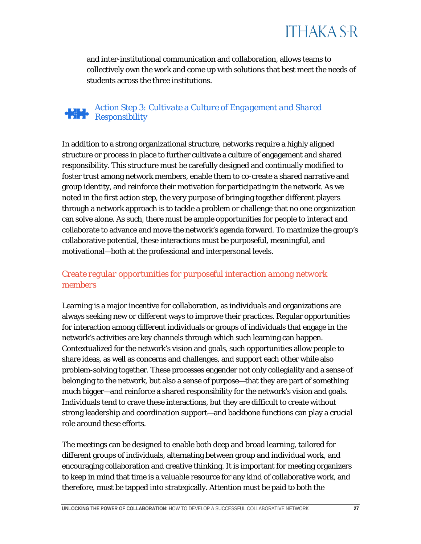and inter-institutional communication and collaboration, allows teams to collectively own the work and come up with solutions that best meet the needs of students across the three institutions.

#### <span id="page-27-0"></span>*Action Step 3: Cultivate a Culture of Engagement and Shared Responsibility*

In addition to a strong organizational structure, networks require a highly aligned structure or process in place to further cultivate a culture of engagement and shared responsibility. This structure must be carefully designed and continually modified to foster trust among network members, enable them to co-create a shared narrative and group identity, and reinforce their motivation for participating in the network. As we noted in the first action step, the very purpose of bringing together different players through a network approach is to tackle a problem or challenge that no one organization can solve alone. As such, there must be ample opportunities for people to interact and collaborate to advance and move the network's agenda forward. To maximize the group's collaborative potential, these interactions must be purposeful, meaningful, and motivational—both at the professional and interpersonal levels.

### *Create regular opportunities for purposeful interaction among network members*

Learning is a major incentive for collaboration, as individuals and organizations are always seeking new or different ways to improve their practices. Regular opportunities for interaction among different individuals or groups of individuals that engage in the network's activities are key channels through which such learning can happen. Contextualized for the network's vision and goals, such opportunities allow people to share ideas, as well as concerns and challenges, and support each other while also problem-solving together. These processes engender not only collegiality and a sense of belonging to the network, but also a sense of purpose—that they are part of something much bigger—and reinforce a shared responsibility for the network's vision and goals. Individuals tend to crave these interactions, but they are difficult to create without strong leadership and coordination support—and backbone functions can play a crucial role around these efforts.

The meetings can be designed to enable both deep and broad learning, tailored for different groups of individuals, alternating between group and individual work, and encouraging collaboration and creative thinking. It is important for meeting organizers to keep in mind that time is a valuable resource for any kind of collaborative work, and therefore, must be tapped into strategically. Attention must be paid to both the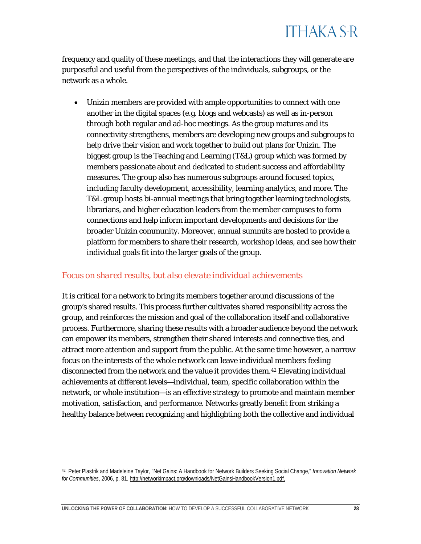frequency and quality of these meetings, and that the interactions they will generate are purposeful and useful from the perspectives of the individuals, subgroups, or the network as a whole.

• *Unizin* members are provided with ample opportunities to connect with one another in the digital spaces (e.g. blogs and webcasts) as well as in-person through both regular and ad-hoc meetings. As the group matures and its connectivity strengthens, members are developing new groups and subgroups to help drive their vision and work together to build out plans for *Unizin*. The biggest group is the Teaching and Learning (T&L) group which was formed by members passionate about and dedicated to student success and affordability measures. The group also has numerous subgroups around focused topics, including faculty development, accessibility, learning analytics, and more. The T&L group hosts bi-annual meetings that bring together learning technologists, librarians, and higher education leaders from the member campuses to form connections and help inform important developments and decisions for the broader *Unizin* community. Moreover, annual summits are hosted to provide a platform for members to share their research, workshop ideas, and see how their individual goals fit into the larger goals of the group.

#### *Focus on shared results, but also elevate individual achievements*

It is critical for a network to bring its members together around discussions of the group's shared results. This process further cultivates shared responsibility across the group, and reinforces the mission and goal of the collaboration itself and collaborative process. Furthermore, sharing these results with a broader audience beyond the network can empower its members, strengthen their shared interests and connective ties, and attract more attention and support from the public. At the same time however, a narrow focus on the interests of the whole network can leave individual members feeling disconnected from the network and the value it provides them.[42](#page-28-0) Elevating individual achievements at different levels—individual, team, specific collaboration within the network, or whole institution—is an effective strategy to promote and maintain member motivation, satisfaction, and performance. Networks greatly benefit from striking a healthy balance between recognizing and highlighting both the collective and individual

<span id="page-28-0"></span>

<sup>42</sup> Peter Plastrik and Madeleine Taylor, "Net Gains: A Handbook for Network Builders Seeking Social Change," *Innovation Network for Communities*, 2006, p. 81. [http://networkimpact.org/downloads/NetGainsHandbookVersion1.pdf.](http://networkimpact.org/downloads/NetGainsHandbookVersion1.pdf)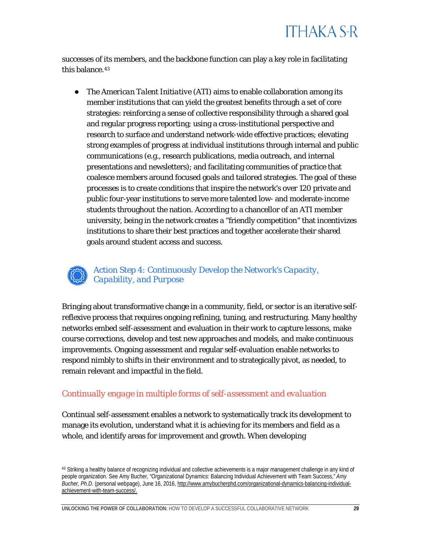<span id="page-29-0"></span>successes of its members, and the backbone function can play a key role in facilitating this balance.<sup>[43](#page-29-1)</sup>

● The *[American Talent Initiative](https://americantalentinitiative.org/) (ATI)* aims to enable collaboration among its member institutions that can yield the greatest benefits through a set of core strategies: reinforcing a sense of collective responsibility through a shared goal and regular progress reporting; using a cross-institutional perspective and research to surface and understand network-wide effective practices; elevating strong examples of progress at individual institutions through internal and public communications (e.g., research publications, media outreach, and internal presentations and newsletters); and facilitating communities of practice that coalesce members around focused goals and tailored strategies. The goal of these processes is to create conditions that inspire the network's over 120 private and public four-year institutions to serve more talented low- and moderate-income students throughout the nation. According to a chancellor of an ATI member university, being in the network creates a "friendly competition" that incentivizes institutions to share their best practices and together accelerate their shared goals around student access and success.

*Action Step 4: Continuously Develop the Network's Capacity, Capability, and Purpose*

Bringing about transformative change in a community, field, or sector is an iterative selfreflexive process that requires ongoing refining, tuning, and restructuring. Many healthy networks embed self-assessment and evaluation in their work to capture lessons, make course corrections, develop and test new approaches and models, and make continuous improvements. Ongoing assessment and regular self-evaluation enable networks to respond nimbly to shifts in their environment and to strategically pivot, as needed, to remain relevant and impactful in the field.

#### *Continually engage in multiple forms of self-assessment and evaluation*

Continual self-assessment enables a network to systematically track its development to manage its evolution, understand what it is achieving for its members and field as a whole, and identify areas for improvement and growth. When developing

<span id="page-29-1"></span><sup>43</sup> Striking a healthy balance of recognizing individual and collective achievements is a major management challenge in any kind of people organization. See Amy Bucher, "Organizational Dynamics: Balancing Individual Achievement with Team Success," *Amy Bucher, Ph.D*. (personal webpage), June 16, 2016[, http://www.amybucherphd.com/organizational-dynamics-balancing-individual](http://www.amybucherphd.com/organizational-dynamics-balancing-individual-achievement-with-team-success/)[achievement-with-team-success/.](http://www.amybucherphd.com/organizational-dynamics-balancing-individual-achievement-with-team-success/)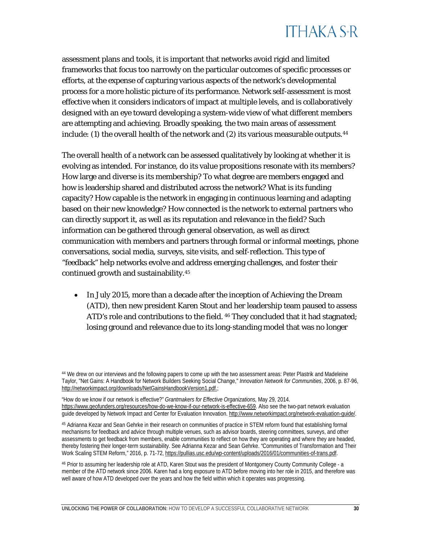assessment plans and tools, it is important that networks avoid rigid and limited frameworks that focus too narrowly on the particular outcomes of specific processes or efforts, at the expense of capturing various aspects of the network's developmental process for a more holistic picture of its performance. Network self-assessment is most effective when it considers indicators of impact at multiple levels, and is collaboratively designed with an eye toward developing a system-wide view of what different members are attempting and achieving. Broadly speaking, the two main areas of assessment include: (1) the overall health of the network and (2) its various measurable outputs.  $44$ 

The overall health of a network can be assessed qualitatively by looking at whether it is evolving as intended. For instance, do its value propositions resonate with its members? How large and diverse is its membership? To what degree are members engaged and how is leadership shared and distributed across the network? What is its funding capacity? How capable is the network in engaging in continuous learning and adapting based on their new knowledge? How connected is the network to external partners who can directly support it, as well as its reputation and relevance in the field? Such information can be gathered through general observation, as well as direct communication with members and partners through formal or informal meetings, phone conversations, social media, surveys, site visits, and self-reflection. This type of "feedback" help networks evolve and address emerging challenges, and foster their continued growth and sustainability.[45](#page-30-1)

• In July 2015, more than a decade after the inception of *Achieving the Dream (ATD),* then new president Karen Stout and her leadership team paused to assess *ATD*'s role and contributions to the field. <sup>[46](#page-30-2)</sup> They concluded that it had stagnated; losing ground and relevance due to its long-standing model that was no longer

<span id="page-30-0"></span><sup>44</sup> We drew on our interviews and the following papers to come up with the two assessment areas: Peter Plastrik and Madeleine Taylor, "Net Gains: A Handbook for Network Builders Seeking Social Change," *Innovation Network for Communities*, 2006, p. 87-9[6,](http://networkimpact.org/downloads/NetGainsHandbookVersion1.pdf) [http://networkimpact.org/downloads/NetGainsHandbookVersion1.pdf.;](http://networkimpact.org/downloads/NetGainsHandbookVersion1.pdf)

<sup>&</sup>quot;How do we know if our network is effective?" *Grantmakers for Effective Organizations,* May 29, 2014. [https://www.geofunders.org/resources/how-do-we-know-if-our-network-is-effective-659.](https://www.geofunders.org/resources/how-do-we-know-if-our-network-is-effective-659) Also see the two-part network evaluation guide developed by Network Impact and Center for Evaluation Innovation[. http://www.networkimpact.org/network-evaluation-guide/.](http://www.networkimpact.org/network-evaluation-guide/) 

<span id="page-30-1"></span><sup>45</sup> Adrianna Kezar and Sean Gehrke in their research on communities of practice in STEM reform found that establishing formal mechanisms for feedback and advice through multiple venues, such as advisor boards, steering committees, surveys, and other assessments to get feedback from members, enable communities to reflect on how they are operating and where they are headed, thereby fostering their longer-term sustainability. See Adrianna Kezar and Sean Gehrke. "Communities of Transformation and Their Work Scaling STEM Reform," 2016, p. 71-72[, https://pullias.usc.edu/wp-content/uploads/2016/01/communities-of-trans.pdf.](https://pullias.usc.edu/wp-content/uploads/2016/01/communities-of-trans.pdf)

<span id="page-30-2"></span><sup>46</sup> Prior to assuming her leadership role at ATD, Karen Stout was the president of Montgomery County Community College - a member of the ATD network since 2006. Karen had a long exposure to ATD before moving into her role in 2015, and therefore was well aware of how ATD developed over the years and how the field within which it operates was progressing.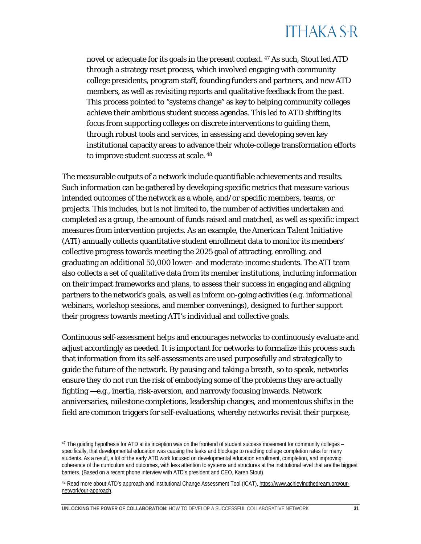novel or adequate for its goals in the present context. [47](#page-31-0) As such, Stout led *ATD* through a strategy reset process, which involved engaging with community college presidents, program staff, founding funders and partners, and new *ATD* members, as well as revisiting reports and qualitative feedback from the past. This process pointed to "systems change" as key to helping community colleges achieve their ambitious student success agendas. This led to *ATD* shifting its focus from supporting colleges on discrete interventions to guiding them, through robust tools and services, in assessing and developing seven key institutional capacity areas to advance their whole-college transformation efforts to improve student success at scale. [48](#page-31-1)

The measurable outputs of a network include quantifiable achievements and results. Such information can be gathered by developing specific metrics that measure various intended outcomes of the network as a whole, and/or specific members, teams, or projects. This includes, but is not limited to, the number of activities undertaken and completed as a group, the amount of funds raised and matched, as well as specific impact measures from intervention projects. As an example, the *American Talent Initiative*  (*ATI*) annually collects quantitative student enrollment data to monitor its members' collective progress towards meeting the 2025 goal of attracting, enrolling, and graduating an additional 50,000 lower- and moderate-income students. The *ATI* team also collects a set of qualitative data from its member institutions, including information on their impact frameworks and plans, to assess their success in engaging and aligning partners to the network's goals, as well as inform on-going activities (e.g. informational webinars, workshop sessions, and member convenings), designed to further support their progress towards meeting ATI's individual and collective goals.

Continuous self-assessment helps and encourages networks to continuously evaluate and adjust accordingly as needed. It is important for networks to formalize this process such that information from its self-assessments are used purposefully and strategically to guide the future of the network. By pausing and taking a breath, so to speak, networks ensure they do not run the risk of embodying some of the problems they are actually fighting —e.g., inertia, risk-aversion, and narrowly focusing inwards. Network anniversaries, milestone completions, leadership changes, and momentous shifts in the field are common triggers for self-evaluations, whereby networks revisit their purpose,

<span id="page-31-0"></span><sup>47</sup> The guiding hypothesis for ATD at its inception was on the frontend of student success movement for community colleges – specifically, that developmental education was causing the leaks and blockage to reaching college completion rates for many students. As a result, a lot of the early ATD work focused on developmental education enrollment, completion, and improving coherence of the curriculum and outcomes, with less attention to systems and structures at the institutional level that are the biggest barriers. (Based on a recent phone interview with ATD's president and CEO, Karen Stout).

<span id="page-31-1"></span><sup>48</sup> Read more about ATD's approach and Institutional Change Assessment Tool (ICAT)[, https://www.achievingthedream.org/our](https://www.achievingthedream.org/our-network/our-approach)[network/our-approach.](https://www.achievingthedream.org/our-network/our-approach)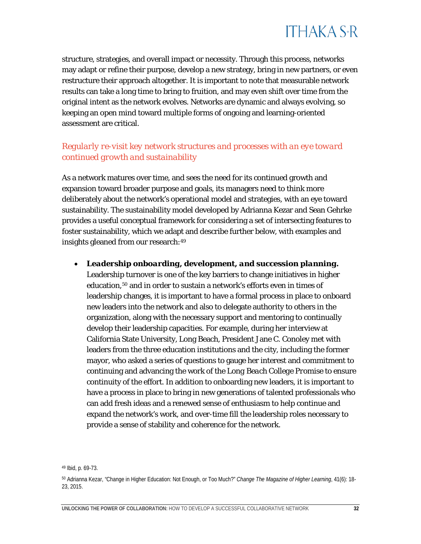

structure, strategies, and overall impact or necessity. Through this process, networks may adapt or refine their purpose, develop a new strategy, bring in new partners, or even restructure their approach altogether. It is important to note that measurable network results can take a long time to bring to fruition, and may even shift over time from the original intent as the network evolves. Networks are dynamic and always evolving, so keeping an open mind toward multiple forms of ongoing and learning-oriented assessment are critical.

#### *Regularly re-visit key network structures and processes with an eye toward continued growth and sustainability*

As a network matures over time, and sees the need for its continued growth and expansion toward broader purpose and goals, its managers need to think more deliberately about the network's operational model and strategies, with an eye toward sustainability. The sustainability model developed by Adrianna Kezar and Sean Gehrke provides a useful conceptual framework for considering a set of intersecting features to foster sustainability, which we adapt and describe further below, with examples and insights gleaned from our research:[49](#page-32-0)

#### • *Leadership onboarding, development, and succession planning***.**

Leadership turnover is one of the key barriers to change initiatives in higher education,<sup>[50](#page-32-1)</sup> and in order to sustain a network's efforts even in times of leadership changes, it is important to have a formal process in place to onboard new leaders into the network and also to delegate authority to others in the organization, along with the necessary support and mentoring to continually develop their leadership capacities. For example, during her interview at California State University, Long Beach, President Jane C. Conoley met with leaders from the three education institutions and the city, including the former mayor, who asked a series of questions to gauge her interest and commitment to continuing and advancing the work of the *Long Beach College Promise* to ensure continuity of the effort. In addition to onboarding new leaders, it is important to have a process in place to bring in new generations of talented professionals who can add fresh ideas and a renewed sense of enthusiasm to help continue and expand the network's work, and over-time fill the leadership roles necessary to provide a sense of stability and coherence for the network.

<span id="page-32-0"></span><sup>49</sup> Ibid, p. 69-73.

<span id="page-32-1"></span><sup>50</sup> Adrianna Kezar, "Change in Higher Education: Not Enough, or Too Much?" *Change The Magazine of Higher Learning*, 41(6): 18- 23, 2015.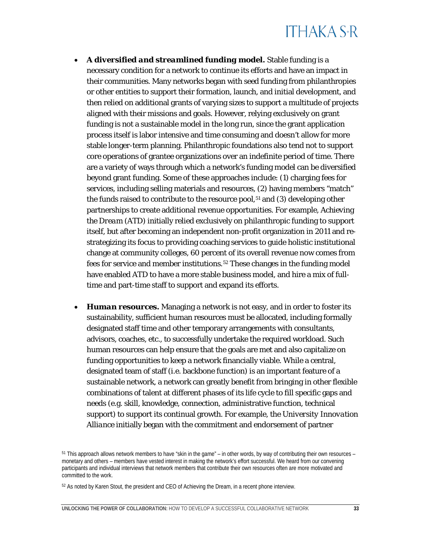- *A diversified and streamlined funding model***.** Stable funding is a necessary condition for a network to continue its efforts and have an impact in their communities. Many networks began with seed funding from philanthropies or other entities to support their formation, launch, and initial development, and then relied on additional grants of varying sizes to support a multitude of projects aligned with their missions and goals. However, relying exclusively on grant funding is not a sustainable model in the long run, since the grant application process itself is labor intensive and time consuming and doesn't allow for more stable longer-term planning. Philanthropic foundations also tend not to support core operations of grantee organizations over an indefinite period of time. There are a variety of ways through which a network's funding model can be diversified beyond grant funding. Some of these approaches include: (1) charging fees for services, including selling materials and resources, (2) having members "match" the funds raised to contribute to the resource pool,<sup>[51](#page-33-0)</sup> and (3) developing other partnerships to create additional revenue opportunities. For example, *Achieving the Dream (ATD)* initially relied exclusively on philanthropic funding to support itself, but after becoming an independent non-profit organization in 2011 and restrategizing its focus to providing coaching services to guide holistic institutional change at community colleges, 60 percent of its overall revenue now comes from fees for service and member institutions.<sup>[52](#page-33-1)</sup> These changes in the funding model have enabled *ATD* to have a more stable business model, and hire a mix of fulltime and part-time staff to support and expand its efforts.
- *Human resources***.** Managing a network is not easy, and in order to foster its sustainability, sufficient human resources must be allocated, including formally designated staff time and other temporary arrangements with consultants, advisors, coaches, etc., to successfully undertake the required workload. Such human resources can help ensure that the goals are met and also capitalize on funding opportunities to keep a network financially viable. While a central, designated team of staff (i.e. backbone function) is an important feature of a sustainable network, a network can greatly benefit from bringing in other flexible combinations of talent at different phases of its life cycle to fill specific gaps and needs (e.g. skill, knowledge, connection, administrative function, technical support) to support its continual growth. For example, the *University Innovation Alliance* initially began with the commitment and endorsement of partner

<span id="page-33-0"></span><sup>51</sup> This approach allows network members to have "skin in the game" – in other words, by way of contributing their own resources – monetary and others – members have vested interest in making the network's effort successful. We heard from our convening participants and individual interviews that network members that contribute their own resources often are more motivated and committed to the work.

<span id="page-33-1"></span><sup>52</sup> As noted by Karen Stout, the president and CEO of Achieving the Dream, in a recent phone interview.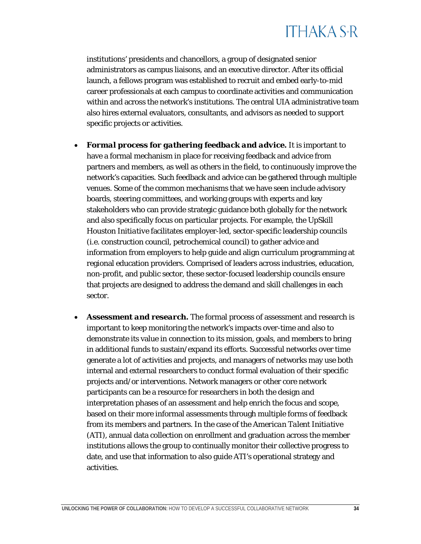institutions' presidents and chancellors, a group of designated senior administrators as campus liaisons, and an executive director. After its official launch, a fellows program was established to recruit and embed early-to-mid career professionals at each campus to coordinate activities and communication within and across the network's institutions. The central UIA administrative team also hires external evaluators, consultants, and advisors as needed to support specific projects or activities.

- *Formal process for gathering feedback and advice***.** It is important to have a formal mechanism in place for receiving feedback and advice from partners and members, as well as others in the field, to continuously improve the network's capacities. Such feedback and advice can be gathered through multiple venues. Some of the common mechanisms that we have seen include advisory boards, steering committees, and working groups with experts and key stakeholders who can provide strategic guidance both globally for the network and also specifically focus on particular projects. For example, the *UpSkill Houston Initiative* facilitates employer-led, sector-specific leadership councils (i.e. construction council, petrochemical council) to gather advice and information from employers to help guide and align curriculum programming at regional education providers. Comprised of leaders across industries, education, non-profit, and public sector, these sector-focused leadership councils ensure that projects are designed to address the demand and skill challenges in each sector.
- *Assessment and research***.** The formal process of assessment and research is important to keep monitoring the network's impacts over-time and also to demonstrate its value in connection to its mission, goals, and members to bring in additional funds to sustain/expand its efforts. Successful networks over time generate a lot of activities and projects, and managers of networks may use both internal and external researchers to conduct formal evaluation of their specific projects and/or interventions. Network managers or other core network participants can be a resource for researchers in both the design and interpretation phases of an assessment and help enrich the focus and scope, based on their more informal assessments through multiple forms of feedback from its members and partners. In the case of the *American Talent Initiative (ATI)*, annual data collection on enrollment and graduation across the member institutions allows the group to continually monitor their collective progress to date, and use that information to also guide ATI's operational strategy and activities.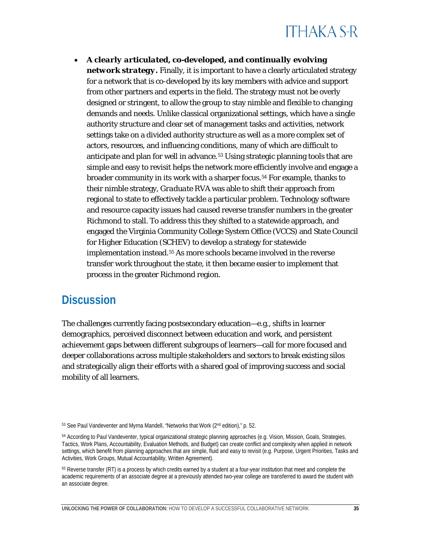• *A clearly articulated, co-developed, and continually evolving network strategy.* Finally, it is important to have a clearly articulated strategy for a network that is co-developed by its key members with advice and support from other partners and experts in the field. The strategy must not be overly designed or stringent, to allow the group to stay nimble and flexible to changing demands and needs. Unlike classical organizational settings, which have a single authority structure and clear set of management tasks and activities, network settings take on a divided authority structure as well as a more complex set of actors, resources, and influencing conditions, many of which are difficult to anticipate and plan for well in advance.<sup>[53](#page-35-1)</sup> Using strategic planning tools that are simple and easy to revisit helps the network more efficiently involve and engage a broader community in its work with a sharper focus[.54](#page-35-2) For example, thanks to their nimble strategy, *Graduate RVA* was able to shift their approach from regional to state to effectively tackle a particular problem. Technology software and resource capacity issues had caused reverse transfer numbers in the greater Richmond to stall. To address this they shifted to a statewide approach, and engaged the Virginia Community College System Office (VCCS) and State Council for Higher Education (SCHEV) to develop a strategy for statewide implementation instead.[55](#page-35-3) As more schools became involved in the reverse transfer work throughout the state, it then became easier to implement that process in the greater Richmond region.

### <span id="page-35-0"></span>**Discussion**

The challenges currently facing postsecondary education—e.g., shifts in learner demographics, perceived disconnect between education and work, and persistent achievement gaps between different subgroups of learners—call for more focused and deeper collaborations across multiple stakeholders and sectors to break existing silos and strategically align their efforts with a shared goal of improving success and social mobility of all learners.

**UNLOCKING THE POWER OF COLLABORATION:** HOW TO DEVELOP A SUCCESSFUL COLLABORATIVE NETWORK **35**

<span id="page-35-1"></span><sup>53</sup> See Paul Vandeventer and Myrna Mandell, "Networks that Work (2<sup>nd</sup> edition)," p. 52.

<span id="page-35-2"></span><sup>54</sup> According to Paul Vandeventer, typical organizational strategic planning approaches (e.g. Vision, Mission, Goals, Strategies, Tactics, Work Plans, Accountability, Evaluation Methods, and Budget) can create conflict and complexity when applied in network settings, which benefit from planning approaches that are simple, fluid and easy to revisit (e.g. Purpose, Urgent Priorities, Tasks and Activities, Work Groups, Mutual Accountability, Written Agreement).

<span id="page-35-3"></span><sup>55</sup> Reverse transfer (RT) is a process by which credits earned by a student at a four-year institution that meet and complete the academic requirements of an associate degree at a previously attended two-year college are transferred to award the student with an associate degree.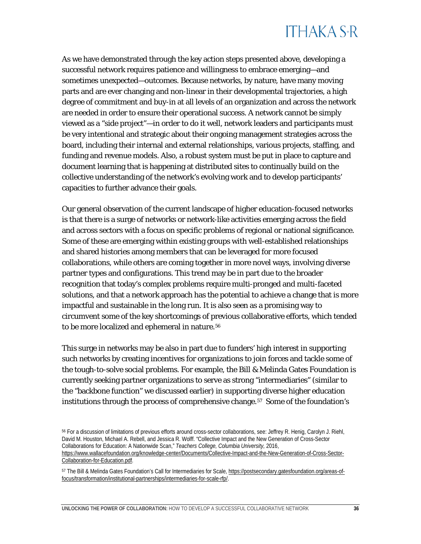As we have demonstrated through the key action steps presented above, developing a successful network requires patience and willingness to embrace emerging—and sometimes unexpected—outcomes. Because networks, by nature, have many moving parts and are ever changing and non-linear in their developmental trajectories, a high degree of commitment and buy-in at all levels of an organization and across the network are needed in order to ensure their operational success. A network cannot be simply viewed as a "side project"—in order to do it well, network leaders and participants must be very intentional and strategic about their ongoing management strategies across the board, including their internal and external relationships, various projects, staffing, and funding and revenue models. Also, a robust system must be put in place to capture and document learning that is happening at distributed sites to continually build on the collective understanding of the network's evolving work and to develop participants' capacities to further advance their goals.

Our general observation of the current landscape of higher education-focused networks is that there is a surge of networks or network-like activities emerging across the field and across sectors with a focus on specific problems of regional or national significance. Some of these are emerging within existing groups with well-established relationships and shared histories among members that can be leveraged for more focused collaborations, while others are coming together in more novel ways, involving diverse partner types and configurations. This trend may be in part due to the broader recognition that today's complex problems require multi-pronged and multi-faceted solutions, and that a network approach has the potential to achieve a change that is more impactful and sustainable in the long run. It is also seen as a promising way to circumvent some of the key shortcomings of previous collaborative efforts, which tended to be more localized and ephemeral in nature.<sup>[56](#page-36-0)</sup>

This surge in networks may be also in part due to funders' high interest in supporting such networks by creating incentives for organizations to join forces and tackle some of the tough-to-solve social problems. For example, the Bill & Melinda Gates Foundation is currently seeking partner organizations to serve as strong "intermediaries" (similar to the "backbone function" we discussed earlier) in supporting diverse higher education institutions through the process of comprehensive change.<sup>[57](#page-36-1)</sup> Some of the foundation's

<span id="page-36-0"></span><sup>56</sup> For a discussion of limitations of previous efforts around cross-sector collaborations, see: Jeffrey R. Henig, Carolyn J. Riehl, David M. Houston, Michael A. Rebell, and Jessica R. Wolff. "Collective Impact and the New Generation of Cross-Sector Collaborations for Education: A Nationwide Scan," *Teachers College, Columbia University,* 2016, [https://www.wallacefoundation.org/knowledge-center/Documents/Collective-Impact-and-the-New-Generation-of-Cross-Sector-](https://www.wallacefoundation.org/knowledge-center/Documents/Collective-Impact-and-the-New-Generation-of-Cross-Sector-Collaboration-for-Education.pdf)[Collaboration-for-Education.pdf.](https://www.wallacefoundation.org/knowledge-center/Documents/Collective-Impact-and-the-New-Generation-of-Cross-Sector-Collaboration-for-Education.pdf)

<span id="page-36-1"></span><sup>57</sup> The Bill & Melinda Gates Foundation's Call for Intermediaries for Scale[, https://postsecondary.gatesfoundation.org/areas-of](https://postsecondary.gatesfoundation.org/areas-of-focus/transformation/institutional-partnerships/intermediaries-for-scale-rfp/)[focus/transformation/institutional-partnerships/intermediaries-for-scale-rfp/.](https://postsecondary.gatesfoundation.org/areas-of-focus/transformation/institutional-partnerships/intermediaries-for-scale-rfp/)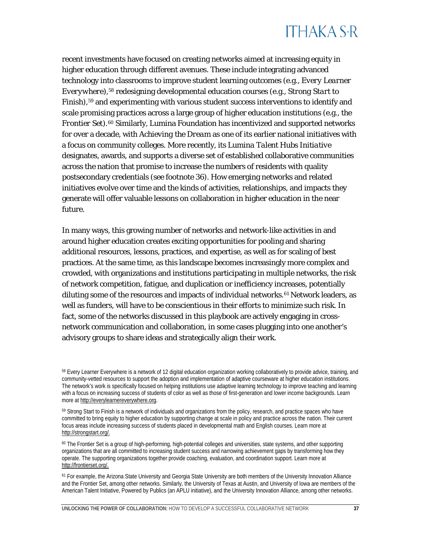recent investments have focused on creating networks aimed at increasing equity in higher education through different avenues. These include integrating advanced technology into classrooms to improve student learning outcomes (e.g., *Every Learner Everywhere*),[58](#page-37-0) redesigning developmental education courses (e.g., *Strong Start to Finish*),<sup>[59](#page-37-1)</sup> and experimenting with various student success interventions to identify and scale promising practices across a large group of higher education institutions (e.g., *the Frontier Set*).[60](#page-37-2) Similarly, Lumina Foundation has incentivized and supported networks for over a decade, with *Achieving the Dream* as one of its earlier national initiatives with a focus on community colleges. More recently, its *Lumina Talent Hubs Initiative* designates, awards, and supports a diverse set of established collaborative communities across the nation that promise to increase the numbers of residents with quality postsecondary credentials (see footnote 36). How emerging networks and related initiatives evolve over time and the kinds of activities, relationships, and impacts they generate will offer valuable lessons on collaboration in higher education in the near future.

In many ways, this growing number of networks and network-like activities in and around higher education creates exciting opportunities for pooling and sharing additional resources, lessons, practices, and expertise, as well as for scaling of best practices. At the same time, as this landscape becomes increasingly more complex and crowded, with organizations and institutions participating in multiple networks, the risk of network competition, fatigue, and duplication or inefficiency increases, potentially diluting some of the resources and impacts of individual networks.<sup>[61](#page-37-3)</sup> Network leaders, as well as funders, will have to be conscientious in their efforts to minimize such risk. In fact, some of the networks discussed in this playbook are actively engaging in crossnetwork communication and collaboration, in some cases plugging into one another's advisory groups to share ideas and strategically align their work.

<span id="page-37-0"></span><sup>&</sup>lt;sup>58</sup> Every Learner Everywhere is a network of 12 digital education organization working collaboratively to provide advice, training, and community-vetted resources to support the adoption and implementation of adaptive courseware at higher education institutions. The network's work is specifically focused on helping institutions use adaptive learning technology to improve teaching and learning with a focus on increasing success of students of color as well as those of first-generation and lower income backgrounds. Learn more at [http://everylearnereverywhere.org.](http://everylearnereverywhere.org/) 

<span id="page-37-1"></span><sup>59</sup> Strong Start to Finish is a network of individuals and organizations from the policy, research, and practice spaces who have committed to bring equity to higher education by supporting change at scale in policy and practice across the nation. Their current focus areas include increasing success of students placed in developmental math and English courses. Learn more at [http://strongstart.org/.](http://strongstart.org/)

<span id="page-37-2"></span><sup>60</sup> The Frontier Set is a group of high-performing, high-potential colleges and universities, state systems, and other supporting organizations that are all committed to increasing student success and narrowing achievement gaps by transforming how they operate. The supporting organizations together provide coaching, evaluation, and coordination support. Learn more at [http://frontierset.org/.](http://frontierset.org/)

<span id="page-37-3"></span><sup>&</sup>lt;sup>61</sup> For example, the Arizona State University and Georgia State University are both members of the University Innovation Alliance and the Frontier Set, among other networks. Similarly, the University of Texas at Austin, and University of Iowa are members of the American Talent Initiative, Powered by Publics (an APLU initiative), and the University Innovation Alliance, among other networks.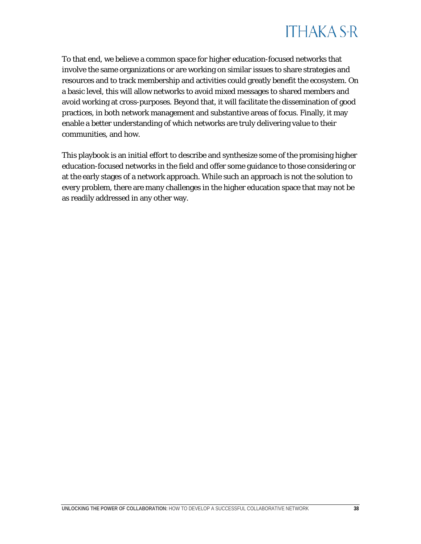

To that end, we believe a common space for higher education-focused networks that involve the same organizations or are working on similar issues to share strategies and resources and to track membership and activities could greatly benefit the ecosystem. On a basic level, this will allow networks to avoid mixed messages to shared members and avoid working at cross-purposes. Beyond that, it will facilitate the dissemination of good practices, in both network management and substantive areas of focus. Finally, it may enable a better understanding of which networks are truly delivering value to their communities, and how.

This playbook is an initial effort to describe and synthesize some of the promising higher education-focused networks in the field and offer some guidance to those considering or at the early stages of a network approach. While such an approach is not the solution to every problem, there are many challenges in the higher education space that may not be as readily addressed in any other way.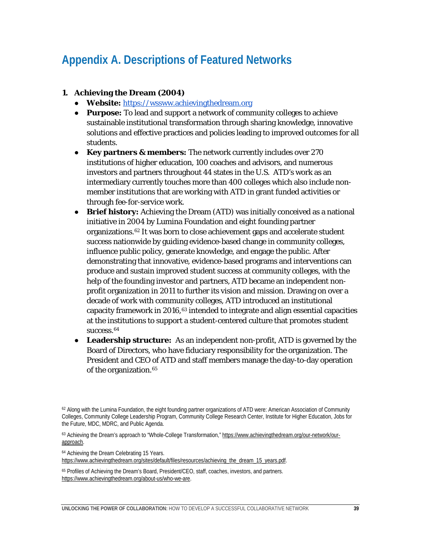### <span id="page-39-0"></span>**Appendix A. Descriptions of Featured Networks**

#### **1. Achieving the Dream (2004)**

- **Website:** [https://wssww.achievingthedream.org](https://www.achievingthedream.org/)
- **Purpose:** To lead and support a network of community colleges to achieve sustainable institutional transformation through sharing knowledge, innovative solutions and effective practices and policies leading to improved outcomes for all students.
- **Key partners & members:** The network currently includes over 270 institutions of higher education, 100 coaches and advisors, and numerous investors and partners throughout 44 states in the U.S. ATD's work as an intermediary currently touches more than 400 colleges which also include nonmember institutions that are working with ATD in grant funded activities or through fee-for-service work.
- **Brief history:** Achieving the Dream (ATD) was initially conceived as a national initiative in 2004 by Lumina Foundation and eight founding partner organizations[.62](#page-39-1) It was born to close achievement gaps and accelerate student success nationwide by guiding evidence-based change in community colleges, influence public policy, generate knowledge, and engage the public. After demonstrating that innovative, evidence-based programs and interventions can produce and sustain improved student success at community colleges, with the help of the founding investor and partners, ATD became an independent nonprofit organization in 2011 to further its vision and mission. Drawing on over a decade of work with community colleges, ATD introduced an institutional capacity framework in 2016,[63](#page-39-2) intended to integrate and align essential capacities at the institutions to support a student-centered culture that promotes student success.<sup>[64](#page-39-3)</sup>
- **Leadership structure:** As an independent non-profit, ATD is governed by the Board of Directors, who have fiduciary responsibility for the organization. The President and CEO of ATD and staff members manage the day-to-day operation of the organization.<sup>[65](#page-39-4)</sup>

<span id="page-39-3"></span><sup>64</sup> Achieving the Dream Celebrating 15 Years. [https://www.achievingthedream.org/sites/default/files/resources/achieving\\_the\\_dream\\_15\\_years.pdf.](https://www.achievingthedream.org/sites/default/files/resources/achieving_the_dream_15_years.pdf)

<span id="page-39-4"></span><sup>65</sup> Profiles of Achieving the Dream's Board, President/CEO, staff, coaches, investors, and partners. [https://www.achievingthedream.org/about-us/who-we-are.](https://www.achievingthedream.org/about-us/who-we-are)

<span id="page-39-1"></span> $62$  Along with the Lumina Foundation, the eight founding partner organizations of ATD were: American Association of Community Colleges, Community College Leadership Program, Community College Research Center, Institute for Higher Education, Jobs for the Future, MDC, MDRC, and Public Agenda.

<span id="page-39-2"></span><sup>63</sup> Achieving the Dream's approach to "Whole-College Transformation,[" https://www.achievingthedream.org/our-network/our](https://www.achievingthedream.org/our-network/our-approach)[approach.](https://www.achievingthedream.org/our-network/our-approach)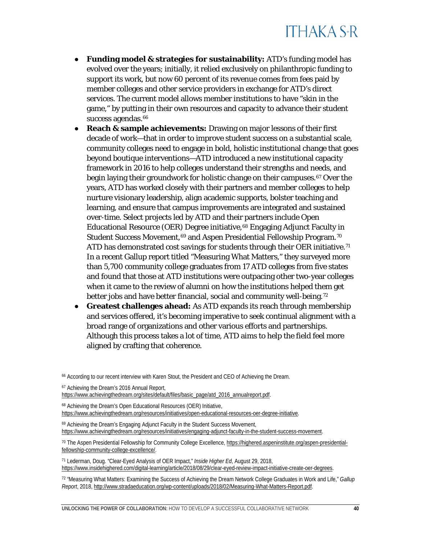- **Funding model & strategies for sustainability:** ATD's funding model has evolved over the years; initially, it relied exclusively on philanthropic funding to support its work, but now 60 percent of its revenue comes from fees paid by member colleges and other service providers in exchange for ATD's direct services. The current model allows member institutions to have "skin in the game," by putting in their own resources and capacity to advance their student success agendas.<sup>[66](#page-40-0)</sup>
- **Reach & sample achievements:** Drawing on major lessons of their first decade of work—that in order to improve student success on a substantial scale, community colleges need to engage in bold, holistic institutional change that goes beyond boutique interventions—ATD introduced a new institutional capacity framework in 2016 to help colleges understand their strengths and needs, and begin laying their groundwork for holistic change on their campuses.[67](#page-40-1) Over the years, ATD has worked closely with their partners and member colleges to help nurture visionary leadership, align academic supports, bolster teaching and learning, and ensure that campus improvements are integrated and sustained over-time. Select projects led by ATD and their partners include Open Educational Resource (OER) Degree initiative,[68](#page-40-2) Engaging Adjunct Faculty in Student Success Movement, [69](#page-40-3) and Aspen Presidential Fellowship Program.<sup>[70](#page-40-4)</sup> ATD has demonstrated cost savings for students through their OER initiative.<sup>[71](#page-40-5)</sup> In a recent Gallup report titled "Measuring What Matters," they surveyed more than 5,700 community college graduates from 17 ATD colleges from five states and found that those at ATD institutions were outpacing other two-year colleges when it came to the review of alumni on how the institutions helped them get better jobs and have better financial, social and community well-being.<sup>[72](#page-40-6)</sup>
- **Greatest challenges ahead:** As ATD expands its reach through membership and services offered, it's becoming imperative to seek continual alignment with a broad range of organizations and other various efforts and partnerships. Although this process takes a lot of time, ATD aims to help the field feel more aligned by crafting that coherence.

- <span id="page-40-2"></span><sup>68</sup> Achieving the Dream's Open Educational Resources (OER) Initiative,
- [https://www.achievingthedream.org/resources/initiatives/open-educational-resources-oer-degree-initiative.](https://www.achievingthedream.org/resources/initiatives/open-educational-resources-oer-degree-initiative)
- <span id="page-40-3"></span><sup>69</sup> Achieving the Dream's Engaging Adjunct Faculty in the Student Success Movement, [https://www.achievingthedream.org/resources/initiatives/engaging-adjunct-faculty-in-the-student-success-movement.](https://www.achievingthedream.org/resources/initiatives/engaging-adjunct-faculty-in-the-student-success-movement)

<span id="page-40-0"></span><sup>66</sup> According to our recent interview with Karen Stout, the President and CEO of Achieving the Dream.

<span id="page-40-1"></span><sup>67</sup> Achieving the Dream's 2016 Annual Report,

[https://www.achievingthedream.org/sites/default/files/basic\\_page/atd\\_2016\\_annualreport.pdf.](https://www.achievingthedream.org/sites/default/files/basic_page/atd_2016_annualreport.pdf)

<span id="page-40-4"></span><sup>70</sup> The Aspen Presidential Fellowship for Community College Excellence[, https://highered.aspeninstitute.org/aspen-presidential](https://highered.aspeninstitute.org/aspen-presidential-fellowship-community-college-excellence/)[fellowship-community-college-excellence/.](https://highered.aspeninstitute.org/aspen-presidential-fellowship-community-college-excellence/)

<span id="page-40-5"></span><sup>71</sup> Lederman, Doug. "Clear-Eyed Analysis of OER Impact," *Inside Higher Ed*, August 29, 2018, [https://www.insidehighered.com/digital-learning/article/2018/08/29/clear-eyed-review-impact-initiative-create-oer-degrees.](https://www.insidehighered.com/digital-learning/article/2018/08/29/clear-eyed-review-impact-initiative-create-oer-degrees) 

<span id="page-40-6"></span><sup>72</sup> "Measuring What Matters: Examining the Success of Achieving the Dream Network College Graduates in Work and Life," *Gallup Report*, 2018, [http://www.stradaeducation.org/wp-content/uploads/2018/02/Measuring-What-Matters-Report.pdf.](http://www.stradaeducation.org/wp-content/uploads/2018/02/Measuring-What-Matters-Report.pdf)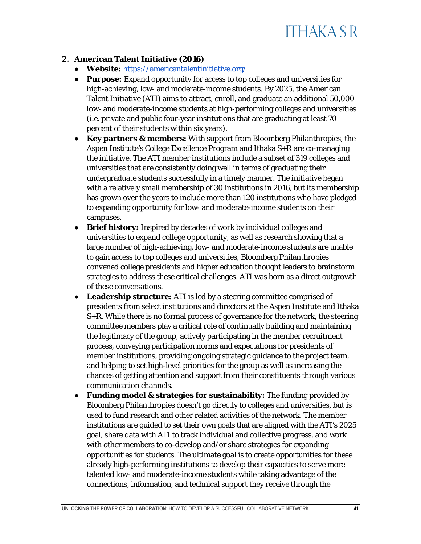

#### **2. American Talent Initiative (2016)**

- **Website:** <https://americantalentinitiative.org/>
- **Purpose:** Expand opportunity for access to top colleges and universities for high-achieving, low- and moderate-income students. By 2025, the American Talent Initiative (ATI) aims to attract, enroll, and graduate an additional 50,000 low- and moderate-income students at high-performing colleges and universities (i.e. private and public four-year institutions that are graduating at least 70 percent of their students within six years).
- **Key partners & members:** With support from Bloomberg Philanthropies, the Aspen Institute's College Excellence Program and Ithaka S+R are co-managing the initiative. The ATI member institutions include a subset of 319 colleges and universities that are consistently doing well in terms of graduating their undergraduate students successfully in a timely manner. The initiative began with a relatively small membership of 30 institutions in 2016, but its membership has grown over the years to include more than 120 institutions who have pledged to expanding opportunity for low- and moderate-income students on their campuses.
- **Brief history:** Inspired by decades of work by individual colleges and universities to expand college opportunity, as well as research showing that a large number of high-achieving, low- and moderate-income students are unable to gain access to top colleges and universities, Bloomberg Philanthropies convened college presidents and higher education thought leaders to brainstorm strategies to address these critical challenges. ATI was born as a direct outgrowth of these conversations.
- **Leadership structure:** ATI is led by a steering committee comprised of presidents from select institutions and directors at the Aspen Institute and Ithaka S+R. While there is no formal process of governance for the network, the steering committee members play a critical role of continually building and maintaining the legitimacy of the group, actively participating in the member recruitment process, conveying participation norms and expectations for presidents of member institutions, providing ongoing strategic guidance to the project team, and helping to set high-level priorities for the group as well as increasing the chances of getting attention and support from their constituents through various communication channels.
- **Funding model & strategies for sustainability:** The funding provided by Bloomberg Philanthropies doesn't go directly to colleges and universities, but is used to fund research and other related activities of the network. The member institutions are guided to set their own goals that are aligned with the ATI's 2025 goal, share data with ATI to track individual and collective progress, and work with other members to co-develop and/or share strategies for expanding opportunities for students. The ultimate goal is to create opportunities for these already high-performing institutions to develop their capacities to serve more talented low- and moderate-income students while taking advantage of the connections, information, and technical support they receive through the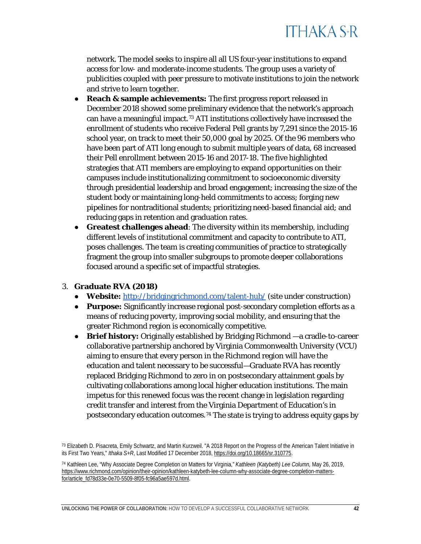

network. The model seeks to inspire all all US four-year institutions to expand access for low- and moderate-income students. The group uses a variety of publicities coupled with peer pressure to motivate institutions to join the network and strive to learn together.

- **Reach & sample achievements:** The first progress report released in December 2018 showed some preliminary evidence that the network's approach can have a meaningful impact.[73](#page-42-0) ATI institutions collectively have increased the enrollment of students who receive Federal Pell grants by 7,291 since the 2015-16 school year, on track to meet their 50,000 goal by 2025. Of the 96 members who have been part of ATI long enough to submit multiple years of data, 68 increased their Pell enrollment between 2015-16 and 2017-18. The five highlighted strategies that ATI members are employing to expand opportunities on their campuses include institutionalizing commitment to socioeconomic diversity through presidential leadership and broad engagement; increasing the size of the student body or maintaining long-held commitments to access; forging new pipelines for nontraditional students; prioritizing need-based financial aid; and reducing gaps in retention and graduation rates.
- **Greatest challenges ahead**: The diversity within its membership, including different levels of institutional commitment and capacity to contribute to ATI, poses challenges. The team is creating communities of practice to strategically fragment the group into smaller subgroups to promote deeper collaborations focused around a specific set of impactful strategies.

#### 3. **Graduate RVA (2018)**

- **Website:** <http://bridgingrichmond.com/talent-hub/> (site under construction)
- **Purpose:** Significantly increase regional post-secondary completion efforts as a means of reducing poverty, improving social mobility, and ensuring that the greater Richmond region is economically competitive.
- **Brief history:** Originally established by Bridging Richmond —a cradle-to-career collaborative partnership anchored by Virginia Commonwealth University (VCU) aiming to ensure that every person in the Richmond region will have the education and talent necessary to be successful—Graduate RVA has recently replaced Bridging Richmond to zero in on postsecondary attainment goals by cultivating collaborations among local higher education institutions. The main impetus for this renewed focus was the recent change in legislation regarding credit transfer and interest from the Virginia Department of Education's in postsecondary education outcomes.[74](#page-42-1) The state is trying to address equity gaps by

<span id="page-42-0"></span><sup>&</sup>lt;sup>73</sup> Elizabeth D. Pisacreta, Emily Schwartz, and Martin Kurzweil. "A 2018 Report on the Progress of the American Talent Initiative in its First Two Years," *Ithaka S+R*, Last Modified 17 December 2018[, https://doi.org/10.18665/sr.310775.](https://doi.org/10.18665/sr.310775)

<span id="page-42-1"></span><sup>74</sup> Kathleen Lee, "Why Associate Degree Completion on Matters for Virginia," *Kathleen (Katybeth) Lee Column,* May 26, 2019, [https://www.richmond.com/opinion/their-opinion/kathleen-katybeth-lee-column-why-associate-degree-completion-matters](https://www.richmond.com/opinion/their-opinion/kathleen-katybeth-lee-column-why-associate-degree-completion-matters-for/article_fd78d33e-0e70-5509-8f05-fc96a5ae597d.html)[for/article\\_fd78d33e-0e70-5509-8f05-fc96a5ae597d.html.](https://www.richmond.com/opinion/their-opinion/kathleen-katybeth-lee-column-why-associate-degree-completion-matters-for/article_fd78d33e-0e70-5509-8f05-fc96a5ae597d.html)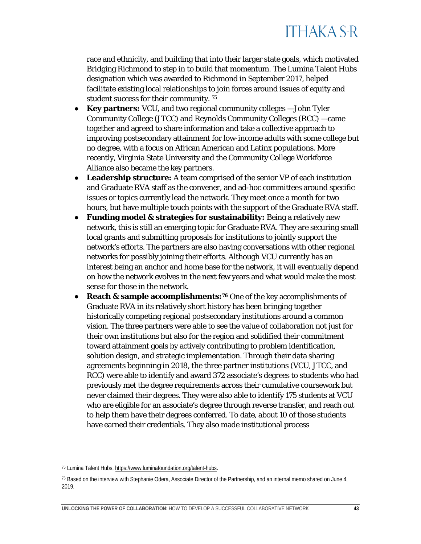race and ethnicity, and building that into their larger state goals, which motivated Bridging Richmond to step in to build that momentum. The Lumina Talent Hubs designation which was awarded to Richmond in September 2017, helped facilitate existing local relationships to join forces around issues of equity and student success for their community. [75](#page-43-0)

- **Key partners:** VCU, and two regional community colleges —John Tyler Community College (JTCC) and Reynolds Community Colleges (RCC) —came together and agreed to share information and take a collective approach to improving postsecondary attainment for low-income adults with some college but no degree, with a focus on African American and Latinx populations. More recently, Virginia State University and the Community College Workforce Alliance also became the key partners.
- **Leadership structure:** A team comprised of the senior VP of each institution and Graduate RVA staff as the convener, and ad-hoc committees around specific issues or topics currently lead the network. They meet once a month for two hours, but have multiple touch points with the support of the Graduate RVA staff.
- **Funding model & strategies for sustainability:** Being a relatively new network, this is still an emerging topic for Graduate RVA. They are securing small local grants and submitting proposals for institutions to jointly support the network's efforts. The partners are also having conversations with other regional networks for possibly joining their efforts. Although VCU currently has an interest being an anchor and home base for the network, it will eventually depend on how the network evolves in the next few years and what would make the most sense for those in the network.
- **Reach & sample accomplishments:[76](#page-43-1)** One of the key accomplishments of Graduate RVA in its relatively short history has been bringing together historically competing regional postsecondary institutions around a common vision. The three partners were able to see the value of collaboration not just for their own institutions but also for the region and solidified their commitment toward attainment goals by actively contributing to problem identification, solution design, and strategic implementation. Through their data sharing agreements beginning in 2018, the three partner institutions (VCU, JTCC, and RCC) were able to identify and award 372 associate's degrees to students who had previously met the degree requirements across their cumulative coursework but never claimed their degrees. They were also able to identify 175 students at VCU who are eligible for an associate's degree through reverse transfer, and reach out to help them have their degrees conferred. To date, about 10 of those students have earned their credentials. They also made institutional process

<span id="page-43-0"></span><sup>75</sup> Lumina Talent Hubs[, https://www.luminafoundation.org/talent-hubs.](https://www.luminafoundation.org/talent-hubs)

<span id="page-43-1"></span><sup>76</sup> Based on the interview with Stephanie Odera, Associate Director of the Partnership, and an internal memo shared on June 4, 2019.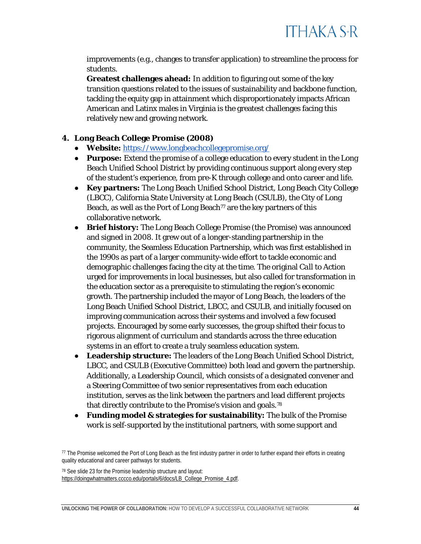improvements (e.g., changes to transfer application) to streamline the process for students.

**Greatest challenges ahead:** In addition to figuring out some of the key transition questions related to the issues of sustainability and backbone function, tackling the equity gap in attainment which disproportionately impacts African American and Latinx males in Virginia is the greatest challenges facing this relatively new and growing network.

#### **4. Long Beach College Promise (2008)**

- **Website:** <https://www.longbeachcollegepromise.org/>
- **Purpose:** Extend the promise of a college education to every student in the Long Beach Unified School District by providing continuous support along every step of the student's experience, from pre-K through college and onto career and life.
- **Key partners:** The Long Beach Unified School District, Long Beach City College (LBCC), California State University at Long Beach (CSULB), the City of Long Beach, as well as the Port of Long Beach<sup> $77$ </sup> are the key partners of this collaborative network.
- **Brief history:** The Long Beach College Promise (the Promise) was announced and signed in 2008. It grew out of a longer-standing partnership in the community, the Seamless Education Partnership, which was first established in the 1990s as part of a larger community-wide effort to tackle economic and demographic challenges facing the city at the time. The original *Call to Action* urged for improvements in local businesses, but also called for transformation in the education sector as a prerequisite to stimulating the region's economic growth. The partnership included the mayor of Long Beach, the leaders of the Long Beach Unified School District, LBCC, and CSULB, and initially focused on improving communication across their systems and involved a few focused projects. Encouraged by some early successes, the group shifted their focus to rigorous alignment of curriculum and standards across the three education systems in an effort to create a truly seamless education system.
- **Leadership structure:** The leaders of the Long Beach Unified School District, LBCC, and CSULB (Executive Committee) both lead and govern the partnership. Additionally, a Leadership Council, which consists of a designated convener and a Steering Committee of two senior representatives from each education institution, serves as the link between the partners and lead different projects that directly contribute to the Promise's vision and goals.[78](#page-44-1)
- **Funding model & strategies for sustainability:** The bulk of the Promise work is self-supported by the institutional partners, with some support and

<span id="page-44-1"></span><sup>78</sup> See slide 23 for the Promise leadership structure and layout: [https://doingwhatmatters.cccco.edu/portals/6/docs/LB\\_College\\_Promise\\_4.pdf.](https://doingwhatmatters.cccco.edu/portals/6/docs/LB_College_Promise_4.pdf)

<span id="page-44-0"></span><sup>&</sup>lt;sup>77</sup> The Promise welcomed the Port of Long Beach as the first industry partner in order to further expand their efforts in creating quality educational and career pathways for students.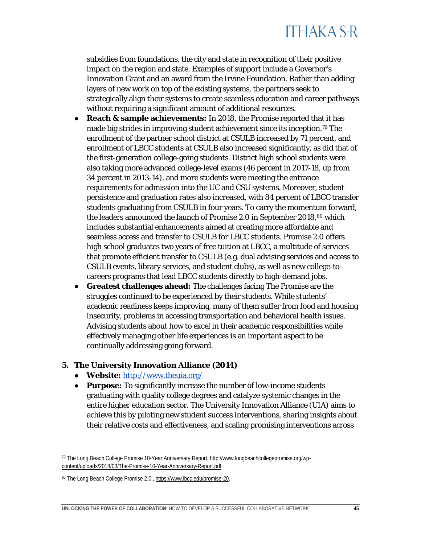subsidies from foundations, the city and state in recognition of their positive impact on the region and state. Examples of support include a Governor's Innovation Grant and an award from the Irvine Foundation. Rather than adding layers of new work on top of the existing systems, the partners seek to strategically align their systems to create seamless education and career pathways without requiring a significant amount of additional resources.

- **Reach & sample achievements:** In 2018, the Promise reported that it has made big strides in improving student achievement since its inception.<sup>[79](#page-45-0)</sup> The enrollment of the partner school district at CSULB increased by 71 percent, and enrollment of LBCC students at CSULB also increased significantly, as did that of the first-generation college-going students. District high school students were also taking more advanced college-level exams (46 percent in 2017-18, up from 34 percent in 2013-14), and more students were meeting the entrance requirements for admission into the UC and CSU systems. Moreover, student persistence and graduation rates also increased, with 84 percent of LBCC transfer students graduating from CSULB in four years. To carry the momentum forward, the leaders announced the launch of Promise 2.0 in September 2018,<sup>[80](#page-45-1)</sup> which includes substantial enhancements aimed at creating more affordable and seamless access and transfer to CSULB for LBCC students. Promise 2.0 offers high school graduates two years of free tuition at LBCC, a multitude of services that promote efficient transfer to CSULB (e.g. dual advising services and access to CSULB events, library services, and student clubs), as well as new college-tocareers programs that lead LBCC students directly to high-demand jobs.
- **Greatest challenges ahead:** The challenges facing The Promise are the struggles continued to be experienced by their students. While students' academic readiness keeps improving, many of them suffer from food and housing insecurity, problems in accessing transportation and behavioral health issues. Advising students about how to excel in their academic responsibilities while effectively managing other life experiences is an important aspect to be continually addressing going forward.

#### **5. The University Innovation Alliance (2014)**

- **Website:** <http://www.theuia.org/>
- **Purpose:** To significantly increase the number of low-income students graduating with quality college degrees and catalyze systemic changes in the entire higher education sector. The University Innovation Alliance (UIA) aims to achieve this by piloting new student success interventions, sharing insights about their relative costs and effectiveness, and scaling promising interventions across

<span id="page-45-0"></span><sup>79</sup> The Long Beach College Promise 10-Year Anniversary Report[, http://www.longbeachcollegepromise.org/wp](http://www.longbeachcollegepromise.org/wp-content/uploads/2018/03/The-Promise-10-Year-Anniversary-Report.pdf)[content/uploads/2018/03/The-Promise-10-Year-Anniversary-Report.pdf.](http://www.longbeachcollegepromise.org/wp-content/uploads/2018/03/The-Promise-10-Year-Anniversary-Report.pdf)

<span id="page-45-1"></span><sup>80</sup> The Long Beach College Promise 2.0.[, https://www.lbcc.edu/promise-20.](https://www.lbcc.edu/promise-20)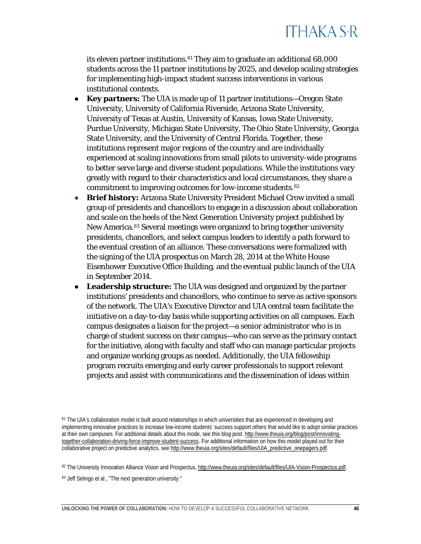its eleven partner institutions.[81](#page-46-0) They aim to graduate an additional 68,000 students across the 11 partner institutions by 2025, and develop scaling strategies for implementing high-impact student success interventions in various institutional contexts.

- **Key partners:** The UIA is made up of 11 partner institutions—Oregon State University, University of California Riverside, Arizona State University, University of Texas at Austin, University of Kansas, Iowa State University, Purdue University, Michigan State University, The Ohio State University, Georgia State University, and the University of Central Florida. Together, these institutions represent major regions of the country and are individually experienced at scaling innovations from small pilots to university-wide programs to better serve large and diverse student populations. While the institutions vary greatly with regard to their characteristics and local circumstances, they share a commitment to improving outcomes for low-income students.[82](#page-46-1)
- **Brief history:** Arizona State University President Michael Crow invited a small group of presidents and chancellors to engage in a discussion about collaboration and scale on the heels of the Next Generation University project published by New America.[83](#page-46-2) Several meetings were organized to bring together university presidents, chancellors, and select campus leaders to identify a path forward to the eventual creation of an alliance. These conversations were formalized with the signing of the UIA prospectus on March 28, 2014 at the White House Eisenhower Executive Office Building, and the eventual public launch of the UIA in September 2014.
- **Leadership structure:** The UIA was designed and organized by the partner institutions' presidents and chancellors, who continue to serve as active sponsors of the network. The UIA's Executive Director and UIA central team facilitate the initiative on a day-to-day basis while supporting activities on all campuses. Each campus designates a liaison for the project—a senior administrator who is in charge of student success on their campus—who can serve as the primary contact for the initiative, along with faculty and staff who can manage particular projects and organize working groups as needed. Additionally, the UIA fellowship program recruits emerging and early career professionals to support relevant projects and assist with communications and the dissemination of ideas within

<span id="page-46-1"></span>82 The University Innovation Alliance Vision and Prospectus[, http://www.theuia.org/sites/default/files/UIA-Vision-Prospectus.pdf.](http://www.theuia.org/sites/default/files/UIA-Vision-Prospectus.pdf)

<span id="page-46-0"></span><sup>81</sup> The UIA's collaboration model is built around relationships in which universities that are experienced in developing and implementing innovative practices to increase low-income students' success support others that would like to adopt similar practices at their own campuses. For additional details about this mode, see this blog post[: http://www.theuia.org/blog/post/innovating](http://www.theuia.org/blog/post/innovating-together-collaboration-driving-force-improve-student-success)[together-collaboration-driving-force-improve-student-success.](http://www.theuia.org/blog/post/innovating-together-collaboration-driving-force-improve-student-success) For additional information on how this model played out for their collaborative project on predictive analytics, se[e http://www.theuia.org/sites/default/files/UIA\\_predictive\\_onepagers.pdf.](http://www.theuia.org/sites/default/files/UIA_predictive_onepagers.pdf)

<span id="page-46-2"></span><sup>83</sup> Jeff Selingo et al., "The next generation university."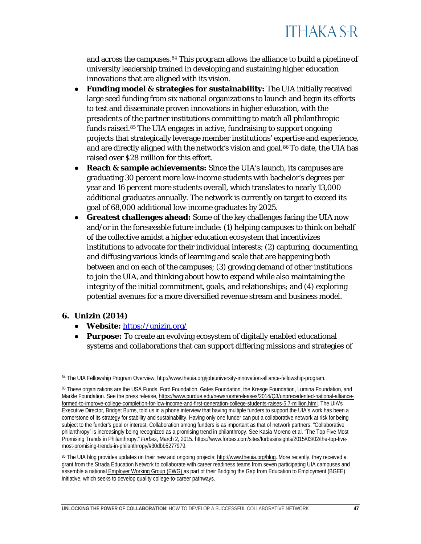and across the campuses.<sup>[84](#page-47-0)</sup> This program allows the alliance to build a pipeline of university leadership trained in developing and sustaining higher education innovations that are aligned with its vision.

- **Funding model & strategies for sustainability:** The UIA initially received large seed funding from six national organizations to launch and begin its efforts to test and disseminate proven innovations in higher education, with the presidents of the partner institutions committing to match all philanthropic funds raised.[85](#page-47-1) The UIA engages in active, fundraising to support ongoing projects that strategically leverage member institutions' expertise and experience, and are directly aligned with the network's vision and goal. $86T$  $86T$ o date, the UIA has raised over \$28 million for this effort.
- **Reach & sample achievements:** Since the UIA's launch, its campuses are graduating 30 percent more low-income students with bachelor's degrees per year and 16 percent more students overall, which translates to nearly 13,000 additional graduates annually. The network is currently on target to exceed its goal of 68,000 additional low-income graduates by 2025.
- **Greatest challenges ahead:** Some of the key challenges facing the UIA now and/or in the foreseeable future include: (1) helping campuses to think on behalf of the collective amidst a higher education ecosystem that incentivizes institutions to advocate for their individual interests; (2) capturing, documenting, and diffusing various kinds of learning and scale that are happening both between and on each of the campuses; (3) growing demand of other institutions to join the UIA, and thinking about how to expand while also maintaining the integrity of the initial commitment, goals, and relationships; and (4) exploring potential avenues for a more diversified revenue stream and business model.

#### **6. Unizin (2014)**

- **Website:** <https://unizin.org/>
- **Purpose:** To create an evolving ecosystem of digitally enabled educational systems and collaborations that can support differing missions and strategies of

<span id="page-47-2"></span>86 The UIA blog provides updates on their new and ongoing projects: [http://www.theuia.org/blog.](http://www.theuia.org/blog) More recently, they received a grant from the Strada Education Network to collaborate with career readiness teams from seven participating UIA campuses and assemble a national *[Employer Working Group \(EWG\)](http://www.theuia.org/blog/post/innovative-new-working-group-seeks-employers-close-skills-gap)* as part of their Bridging the Gap from Education to Employment (BGEE) initiative, which seeks to develop quality college-to-career pathways.

<span id="page-47-0"></span><sup>84</sup> The UIA Fellowship Program Overview, [http://www.theuia.org/job/university-innovation-alliance-fellowship-program.](http://www.theuia.org/job/university-innovation-alliance-fellowship-program)

<span id="page-47-1"></span><sup>85</sup> These organizations are the USA Funds, Ford Foundation, Gates Foundation, the Kresge Foundation, Lumina Foundation, and Markle Foundation. See the press release[, https://www.purdue.edu/newsroom/releases/2014/Q3/unprecedented-national-alliance](https://www.purdue.edu/newsroom/releases/2014/Q3/unprecedented-national-alliance-formed-to-improve-college-completion-for-low-income-and-first-generation-college-students-raises-5.7-million.html)[formed-to-improve-college-completion-for-low-income-and-first-generation-college-students-raises-5.7-million.html.](https://www.purdue.edu/newsroom/releases/2014/Q3/unprecedented-national-alliance-formed-to-improve-college-completion-for-low-income-and-first-generation-college-students-raises-5.7-million.html) The UIA's Executive Director, Bridget Burns, told us in a phone interview that having multiple funders to support the UIA's work has been a cornerstone of its strategy for stability and sustainability. Having only one funder can put a collaborative network at risk for being subject to the funder's goal or interest. Collaboration among funders is as important as that of network partners. "Collaborative philanthropy" is increasingly being recognized as a promising trend in philanthropy. See Kasia Moreno et al. "The Top Five Most Promising Trends in Philanthropy." *Forbes*, March 2, 2015[. https://www.forbes.com/sites/forbesinsights/2015/03/02/the-top-five](https://www.forbes.com/sites/forbesinsights/2015/03/02/the-top-five-most-promising-trends-in-philanthropy/#30dbb5277979)[most-promising-trends-in-philanthropy/#30dbb5277979.](https://www.forbes.com/sites/forbesinsights/2015/03/02/the-top-five-most-promising-trends-in-philanthropy/#30dbb5277979)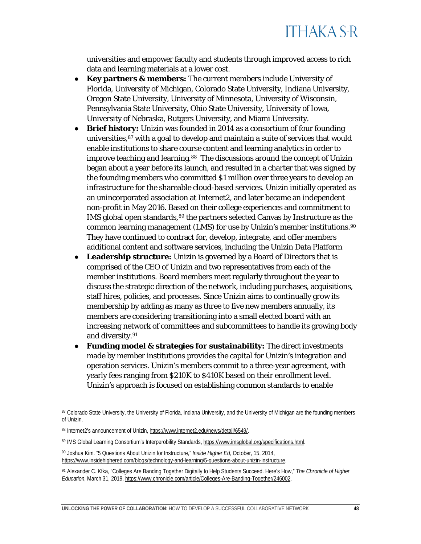universities and empower faculty and students through improved access to rich data and learning materials at a lower cost.

- **Key partners & members:** The current members include University of Florida, University of Michigan, Colorado State University, Indiana University, Oregon State University, University of Minnesota, University of Wisconsin, Pennsylvania State University, Ohio State University, University of Iowa, University of Nebraska, Rutgers University, and Miami University.
- **Brief history:** Unizin was founded in 2014 as a consortium of four founding universities,[87](#page-48-0) with a goal to develop and maintain a suite of services that would enable institutions to share course content and learning analytics in order to improve teaching and learning.<sup>[88](#page-48-1)</sup> The discussions around the concept of Unizin began about a year before its launch, and resulted in a charter that was signed by the founding members who committed \$1 million over three years to develop an infrastructure for the shareable cloud-based services. Unizin initially operated as an unincorporated association at Internet2, and later became an independent non-profit in May 2016. Based on their college experiences and commitment to IMS global open standards, [89](#page-48-2) the partners selected Canvas by Instructure as the common learning management (LMS) for use by Unizin's member institutions.[90](#page-48-3)  They have continued to contract for, develop, integrate, and offer members additional content and software services, including the Unizin Data Platform
- **Leadership structure:** Unizin is governed by a Board of Directors that is comprised of the CEO of Unizin and two representatives from each of the member institutions. Board members meet regularly throughout the year to discuss the strategic direction of the network, including purchases, acquisitions, staff hires, policies, and processes. Since Unizin aims to continually grow its membership by adding as many as three to five new members annually, its members are considering transitioning into a small elected board with an increasing network of committees and subcommittees to handle its growing body and diversity[.91](#page-48-4)
- **Funding model & strategies for sustainability:** The direct investments made by member institutions provides the capital for Unizin's integration and operation services. Unizin's members commit to a three-year agreement, with yearly fees ranging from \$210K to \$410K based on their enrollment level. Unizin's approach is focused on establishing common standards to enable

<span id="page-48-0"></span><sup>87</sup> Colorado State University, the University of Florida, Indiana University, and the University of Michigan are the founding members of Unizin.

<span id="page-48-1"></span><sup>88</sup> Internet2's announcement of Unizin[, https://www.internet2.edu/news/detail/6549/.](https://www.internet2.edu/news/detail/6549/)

<span id="page-48-2"></span><sup>89</sup> IMS Global Learning Consortium's Interperobility Standards, [https://www.imsglobal.org/specifications.html.](https://www.imsglobal.org/specifications.html)

<span id="page-48-3"></span><sup>90</sup> Joshua Kim. "5 Questions About Unizin for Instructure," *Inside Higher Ed*, October, 15, 2014, [https://www.insidehighered.com/blogs/technology-and-learning/5-questions-about-unizin-instructure.](https://www.insidehighered.com/blogs/technology-and-learning/5-questions-about-unizin-instructure)

<span id="page-48-4"></span><sup>91</sup> Alexander C. Kfka, "Colleges Are Banding Together Digitally to Help Students Succeed. Here's How," *The Chronicle of Higher Education*, March 31, 2019[, https://www.chronicle.com/article/Colleges-Are-Banding-Together/246002.](https://www.chronicle.com/article/Colleges-Are-Banding-Together/246002)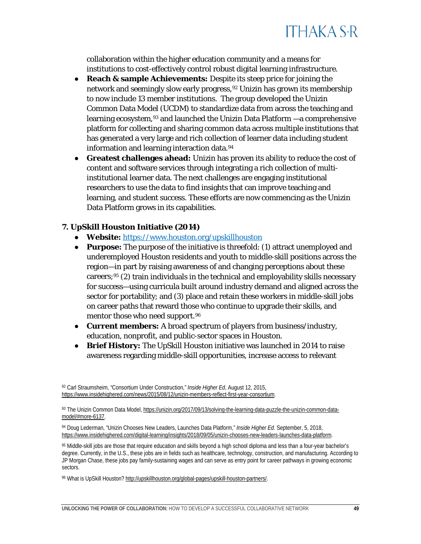

collaboration within the higher education community and a means for institutions to cost-effectively control robust digital learning infrastructure.

- **Reach & sample Achievements:** Despite its steep price for joining the network and seemingly slow early progress,[92](#page-49-0) Unizin has grown its membership to now include 13 member institutions. The group developed the Unizin Common Data Model (UCDM) to standardize data from across the teaching and learning ecosystem,[93](#page-49-1) and launched the Unizin Data Platform —a comprehensive platform for collecting and sharing common data across multiple institutions that has generated a very large and rich collection of learner data including student information and learning interaction data.<sup>[94](#page-49-2)</sup>
- Greatest challenges ahead: Unizin has proven its ability to reduce the cost of content and software services through integrating a rich collection of multiinstitutional learner data. The next challenges are engaging institutional researchers to use the data to find insights that can improve teaching and learning, and student success. These efforts are now commencing as the Unizin Data Platform grows in its capabilities.

#### **7. UpSkill Houston Initiative (2014)**

- **Website:** <https://www.houston.org/upskillhouston>
- **Purpose:** The purpose of the initiative is threefold: (1) attract unemployed and underemployed Houston residents and youth to middle-skill positions across the region—in part by raising awareness of and changing perceptions about these careers; $95$  (2) train individuals in the technical and employability skills necessary for success—using curricula built around industry demand and aligned across the sector for portability; and (3) place and retain these workers in middle-skill jobs on career paths that reward those who continue to upgrade their skills, and mentor those who need support.<sup>[96](#page-49-4)</sup>
- **Current members:** A broad spectrum of players from business/industry, education, nonprofit, and public-sector spaces in Houston.
- **Brief History:** The UpSkill Houston initiative was launched in 2014 to raise awareness regarding middle-skill opportunities, increase access to relevant

<span id="page-49-0"></span><sup>92</sup> Carl Straumsheim, "Consortium Under Construction," *Inside Higher Ed*, August 12, 2015, [https://www.insidehighered.com/news/2015/08/12/unizin-members-reflect-first-year-consortium.](https://www.insidehighered.com/news/2015/08/12/unizin-members-reflect-first-year-consortium)

<span id="page-49-1"></span><sup>93</sup> The Unizin Common Data Model[, https://unizin.org/2017/09/13/solving-the-learning-data-puzzle-the-unizin-common-data](https://unizin.org/2017/09/13/solving-the-learning-data-puzzle-the-unizin-common-data-model/#more-6137)[model/#more-6137.](https://unizin.org/2017/09/13/solving-the-learning-data-puzzle-the-unizin-common-data-model/#more-6137)

<span id="page-49-2"></span><sup>94</sup> Doug Lederman, "Unizin Chooses New Leaders, Launches Data Platform," *Inside Higher Ed.* September, 5, 2018, [https://www.insidehighered.com/digital-learning/insights/2018/09/05/unizin-chooses-new-leaders-launches-data-platform.](https://www.insidehighered.com/digital-learning/insights/2018/09/05/unizin-chooses-new-leaders-launches-data-platform)

<span id="page-49-3"></span><sup>95</sup> Middle-skill jobs are those that require education and skills beyond a high school diploma and less than a four-year bachelor's degree. Currently, in the U.S., these jobs are in fields such as healthcare, technology, construction, and manufacturing. According to JP Morgan Chase, these jobs pay family-sustaining wages and can serve as entry point for career pathways in growing economic sectors.

<span id="page-49-4"></span><sup>96</sup> What is UpSkill Houston? [http://upskillhouston.org/global-pages/upskill-houston-partners/.](http://upskillhouston.org/global-pages/upskill-houston-partners/)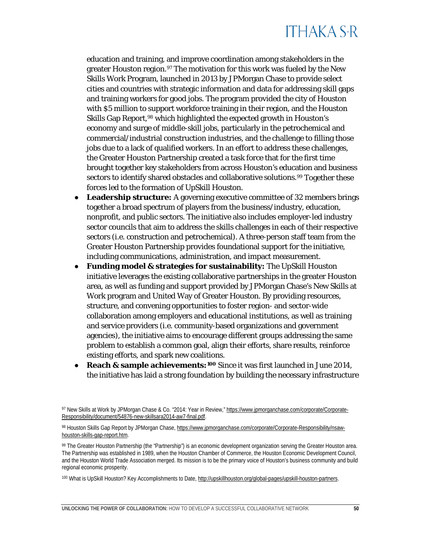

education and training, and improve coordination among stakeholders in the greater Houston region.<sup>[97](#page-50-0)</sup> The motivation for this work was fueled by the New Skills Work Program, launched in 2013 by JPMorgan Chase to provide select cities and countries with strategic information and data for addressing skill gaps and training workers for good jobs. The program provided the city of Houston with \$5 million to support workforce training in their region, and the Houston Skills Gap Report[,98](#page-50-1) which highlighted the expected growth in Houston's economy and surge of middle-skill jobs, particularly in the petrochemical and commercial/industrial construction industries, and the challenge to filling those jobs due to a lack of qualified workers. In an effort to address these challenges, the Greater Houston Partnership created a task force that for the first time brought together key stakeholders from across Houston's education and business sectors to identify shared obstacles and collaborative solutions.<sup>[99](#page-50-2)</sup> Together these forces led to the formation of UpSkill Houston.

- **Leadership structure:** A governing executive committee of 32 members brings together a broad spectrum of players from the business/industry, education, nonprofit, and public sectors. The initiative also includes employer-led industry sector councils that aim to address the skills challenges in each of their respective sectors (i.e. construction and petrochemical). A three-person staff team from the Greater Houston Partnership provides foundational support for the initiative, including communications, administration, and impact measurement.
- **Funding model & strategies for sustainability:** The UpSkill Houston initiative leverages the existing collaborative partnerships in the greater Houston area, as well as funding and support provided by JPMorgan Chase's New Skills at Work program and United Way of Greater Houston. By providing resources, structure, and convening opportunities to foster region- and sector-wide collaboration among employers and educational institutions, as well as training and service providers (i.e. community-based organizations and government agencies), the initiative aims to encourage different groups addressing the same problem to establish a common goal, align their efforts, share results, reinforce existing efforts, and spark new coalitions.
- **Reach & sample achievements:[100](#page-50-3)** Since it was first launched in June 2014, the initiative has laid a strong foundation by building the necessary infrastructure

<span id="page-50-0"></span><sup>97</sup> New Skills at Work by JPMorgan Chase & Co. "2014: Year in Review[,"](https://www.jpmorganchase.com/corporate/Corporate-Responsibility/document/54876-new-skillsara2014-aw7-final.pdf) [https://www.jpmorganchase.com/corporate/Corporate-](https://www.jpmorganchase.com/corporate/Corporate-Responsibility/document/54876-new-skillsara2014-aw7-final.pdf)[Responsibility/document/54876-new-skillsara2014-aw7-final.pdf.](https://www.jpmorganchase.com/corporate/Corporate-Responsibility/document/54876-new-skillsara2014-aw7-final.pdf)

<span id="page-50-1"></span><sup>98</sup> Houston Skills Gap Report by JPMorgan Chase, [https://www.jpmorganchase.com/corporate/Corporate-Responsibility/nsaw](https://www.jpmorganchase.com/corporate/Corporate-Responsibility/nsaw-houston-skills-gap-report.htm)[houston-skills-gap-report.htm.](https://www.jpmorganchase.com/corporate/Corporate-Responsibility/nsaw-houston-skills-gap-report.htm)

<span id="page-50-2"></span><sup>99</sup> The Greater Houston Partnership (the "Partnership") is an economic development organization serving the Greater Houston area. The Partnership was established in 1989, when the Houston Chamber of Commerce, the Houston Economic Development Council, and the Houston World Trade Association merged. Its mission is to be the primary voice of Houston's business community and build regional economic prosperity.

<span id="page-50-3"></span><sup>100</sup> What is UpSkill Houston? Key Accomplishments to Dat[e,](http://upskillhouston.org/global-pages/upskill-houston-partners) [http://upskillhouston.org/global-pages/upskill-houston-partners.](http://upskillhouston.org/global-pages/upskill-houston-partners)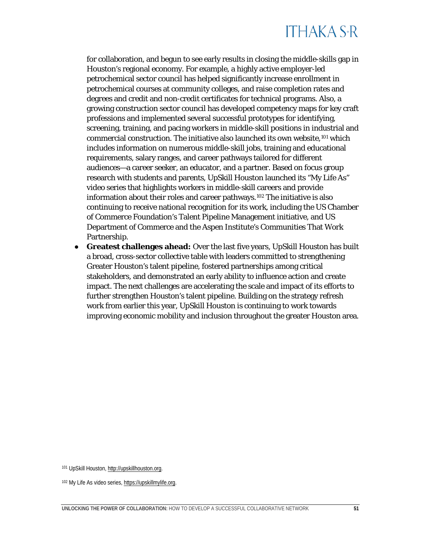for collaboration, and begun to see early results in closing the middle-skills gap in Houston's regional economy. For example, a highly active employer-led petrochemical sector council has helped significantly increase enrollment in petrochemical courses at community colleges, and raise completion rates and degrees and credit and non-credit certificates for technical programs. Also, a growing construction sector council has developed competency maps for key craft professions and implemented several successful prototypes for identifying, screening, training, and pacing workers in middle-skill positions in industrial and commercial construction. The initiative also launched its own website,[101](#page-51-1) which includes information on numerous middle-skill jobs, training and educational requirements, salary ranges, and career pathways tailored for different audiences—a career seeker, an educator, and a partner. Based on focus group research with students and parents, UpSkill Houston launched its "My Life As" video series that highlights workers in middle-skill careers and provide information about their roles and career pathways.[102](#page-51-2) The initiative is also continuing to receive national recognition for its work, including the US Chamber of Commerce Foundation's Talent Pipeline Management initiative, and US Department of Commerce and the Aspen Institute's Communities That Work Partnership.

<span id="page-51-0"></span>● **Greatest challenges ahead:** Over the last five years, UpSkill Houston has built a broad, cross-sector collective table with leaders committed to strengthening Greater Houston's talent pipeline, fostered partnerships among critical stakeholders, and demonstrated an early ability to influence action and create impact. The next challenges are accelerating the scale and impact of its efforts to further strengthen Houston's talent pipeline. Building on the strategy refresh work from earlier this year, UpSkill Houston is continuing to work towards improving economic mobility and inclusion throughout the greater Houston area.

<span id="page-51-1"></span><sup>101</sup> UpSkill Houston, [http://upskillhouston.org.](http://upskillhouston.org/)

<span id="page-51-2"></span><sup>102</sup> My Life As video series[, https://upskillmylife.org.](https://upskillmylife.org/)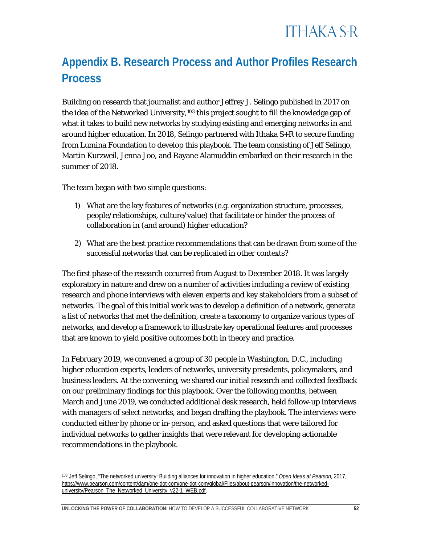### **Appendix B. Research Process and Author Profiles Research Process**

Building on research that journalist and author Jeffrey J. Selingo published in 2017 on the idea of the Networked University,<sup>[103](#page-52-0)</sup> this project sought to fill the knowledge gap of what it takes to build new networks by studying existing and emerging networks in and around higher education. In 2018, Selingo partnered with Ithaka S+R to secure funding from Lumina Foundation to develop this playbook. The team consisting of Jeff Selingo, Martin Kurzweil, Jenna Joo, and Rayane Alamuddin embarked on their research in the summer of 2018.

The team began with two simple questions:

- 1) What are the key features of networks (e.g. organization structure, processes, people/relationships, culture/value) that facilitate or hinder the process of collaboration in (and around) higher education?
- 2) What are the best practice recommendations that can be drawn from some of the successful networks that can be replicated in other contexts?

The first phase of the research occurred from August to December 2018. It was largely exploratory in nature and drew on a number of activities including a review of existing research and phone interviews with eleven experts and key stakeholders from a subset of networks. The goal of this initial work was to develop a definition of a network, generate a list of networks that met the definition, create a taxonomy to organize various types of networks, and develop a framework to illustrate key operational features and processes that are known to yield positive outcomes both in theory and practice.

In February 2019, we convened a group of 30 people in Washington, D.C., including higher education experts, leaders of networks, university presidents, policymakers, and business leaders. At the convening, we shared our initial research and collected feedback on our preliminary findings for this playbook. Over the following months, between March and June 2019, we conducted additional desk research, held follow-up interviews with managers of select networks, and began drafting the playbook. The interviews were conducted either by phone or in-person, and asked questions that were tailored for individual networks to gather insights that were relevant for developing actionable recommendations in the playbook.

<span id="page-52-0"></span><sup>103</sup> Jeff Selingo, "The networked university: Building alliances for innovation in higher education." *Open Ideas at Pearson,* 2017, [https://www.pearson.com/content/dam/one-dot-com/one-dot-com/global/Files/about-pearson/innovation/the-networked](https://www.pearson.com/content/dam/one-dot-com/one-dot-com/global/Files/about-pearson/innovation/the-networked-university/Pearson_The_Networked_University_v22-1_WEB.pdf)[university/Pearson\\_The\\_Networked\\_University\\_v22-1\\_WEB.pdf.](https://www.pearson.com/content/dam/one-dot-com/one-dot-com/global/Files/about-pearson/innovation/the-networked-university/Pearson_The_Networked_University_v22-1_WEB.pdf)